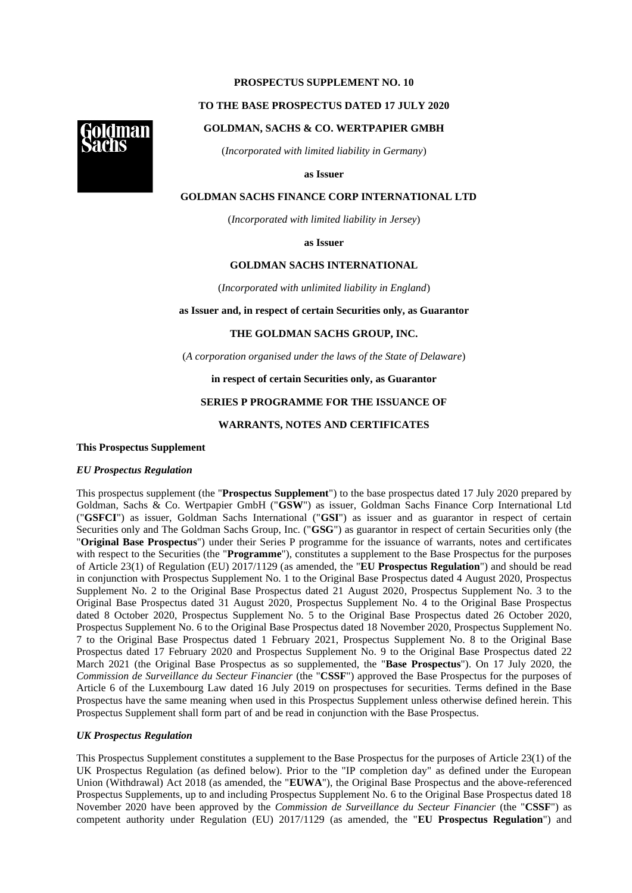## **PROSPECTUS SUPPLEMENT NO. 10**

## **TO THE BASE PROSPECTUS DATED 17 JULY 2020**

## **GOLDMAN, SACHS & CO. WERTPAPIER GMBH**

(*Incorporated with limited liability in Germany*)

**as Issuer**

### **GOLDMAN SACHS FINANCE CORP INTERNATIONAL LTD**

(*Incorporated with limited liability in Jersey*)

**as Issuer**

#### **GOLDMAN SACHS INTERNATIONAL**

(*Incorporated with unlimited liability in England*)

**as Issuer and, in respect of certain Securities only, as Guarantor**

## **THE GOLDMAN SACHS GROUP, INC.**

(*A corporation organised under the laws of the State of Delaware*)

## **in respect of certain Securities only, as Guarantor**

### **SERIES P PROGRAMME FOR THE ISSUANCE OF**

### **WARRANTS, NOTES AND CERTIFICATES**

# **This Prospectus Supplement**

#### *EU Prospectus Regulation*

This prospectus supplement (the "**Prospectus Supplement**") to the base prospectus dated 17 July 2020 prepared by Goldman, Sachs & Co. Wertpapier GmbH ("**GSW**") as issuer, Goldman Sachs Finance Corp International Ltd ("**GSFCI**") as issuer, Goldman Sachs International ("**GSI**") as issuer and as guarantor in respect of certain Securities only and The Goldman Sachs Group, Inc. ("**GSG**") as guarantor in respect of certain Securities only (the "**Original Base Prospectus**") under their Series P programme for the issuance of warrants, notes and certificates with respect to the Securities (the "**Programme**"), constitutes a supplement to the Base Prospectus for the purposes of Article 23(1) of Regulation (EU) 2017/1129 (as amended, the "**EU Prospectus Regulation**") and should be read in conjunction with Prospectus Supplement No. 1 to the Original Base Prospectus dated 4 August 2020, Prospectus Supplement No. 2 to the Original Base Prospectus dated 21 August 2020, Prospectus Supplement No. 3 to the Original Base Prospectus dated 31 August 2020, Prospectus Supplement No. 4 to the Original Base Prospectus dated 8 October 2020, Prospectus Supplement No. 5 to the Original Base Prospectus dated 26 October 2020, Prospectus Supplement No. 6 to the Original Base Prospectus dated 18 November 2020, Prospectus Supplement No. 7 to the Original Base Prospectus dated 1 February 2021, Prospectus Supplement No. 8 to the Original Base Prospectus dated 17 February 2020 and Prospectus Supplement No. 9 to the Original Base Prospectus dated 22 March 2021 (the Original Base Prospectus as so supplemented, the "**Base Prospectus**"). On 17 July 2020, the *Commission de Surveillance du Secteur Financier* (the "**CSSF**") approved the Base Prospectus for the purposes of Article 6 of the Luxembourg Law dated 16 July 2019 on prospectuses for securities. Terms defined in the Base Prospectus have the same meaning when used in this Prospectus Supplement unless otherwise defined herein. This Prospectus Supplement shall form part of and be read in conjunction with the Base Prospectus.

## *UK Prospectus Regulation*

This Prospectus Supplement constitutes a supplement to the Base Prospectus for the purposes of Article 23(1) of the UK Prospectus Regulation (as defined below). Prior to the "IP completion day" as defined under the European Union (Withdrawal) Act 2018 (as amended, the "**EUWA**"), the Original Base Prospectus and the above-referenced Prospectus Supplements, up to and including Prospectus Supplement No. 6 to the Original Base Prospectus dated 18 November 2020 have been approved by the *Commission de Surveillance du Secteur Financier* (the "**CSSF**") as competent authority under Regulation (EU) 2017/1129 (as amended, the "**EU Prospectus Regulation**") and

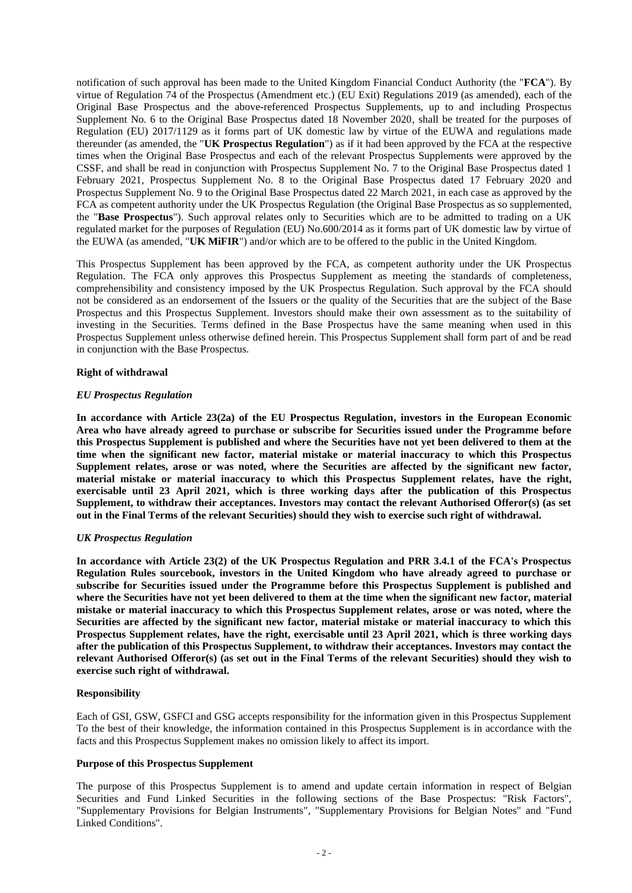notification of such approval has been made to the United Kingdom Financial Conduct Authority (the "**FCA**"). By virtue of Regulation 74 of the Prospectus (Amendment etc.) (EU Exit) Regulations 2019 (as amended), each of the Original Base Prospectus and the above-referenced Prospectus Supplements, up to and including Prospectus Supplement No. 6 to the Original Base Prospectus dated 18 November 2020, shall be treated for the purposes of Regulation (EU) 2017/1129 as it forms part of UK domestic law by virtue of the EUWA and regulations made thereunder (as amended, the "**UK Prospectus Regulation**") as if it had been approved by the FCA at the respective times when the Original Base Prospectus and each of the relevant Prospectus Supplements were approved by the CSSF, and shall be read in conjunction with Prospectus Supplement No. 7 to the Original Base Prospectus dated 1 February 2021, Prospectus Supplement No. 8 to the Original Base Prospectus dated 17 February 2020 and Prospectus Supplement No. 9 to the Original Base Prospectus dated 22 March 2021, in each case as approved by the FCA as competent authority under the UK Prospectus Regulation (the Original Base Prospectus as so supplemented, the "**Base Prospectus**"). Such approval relates only to Securities which are to be admitted to trading on a UK regulated market for the purposes of Regulation (EU) No.600/2014 as it forms part of UK domestic law by virtue of the EUWA (as amended, "**UK MiFIR**") and/or which are to be offered to the public in the United Kingdom.

This Prospectus Supplement has been approved by the FCA, as competent authority under the UK Prospectus Regulation. The FCA only approves this Prospectus Supplement as meeting the standards of completeness, comprehensibility and consistency imposed by the UK Prospectus Regulation. Such approval by the FCA should not be considered as an endorsement of the Issuers or the quality of the Securities that are the subject of the Base Prospectus and this Prospectus Supplement. Investors should make their own assessment as to the suitability of investing in the Securities. Terms defined in the Base Prospectus have the same meaning when used in this Prospectus Supplement unless otherwise defined herein. This Prospectus Supplement shall form part of and be read in conjunction with the Base Prospectus.

## **Right of withdrawal**

## *EU Prospectus Regulation*

**In accordance with Article 23(2a) of the EU Prospectus Regulation, investors in the European Economic Area who have already agreed to purchase or subscribe for Securities issued under the Programme before this Prospectus Supplement is published and where the Securities have not yet been delivered to them at the time when the significant new factor, material mistake or material inaccuracy to which this Prospectus Supplement relates, arose or was noted, where the Securities are affected by the significant new factor, material mistake or material inaccuracy to which this Prospectus Supplement relates, have the right, exercisable until 23 April 2021, which is three working days after the publication of this Prospectus Supplement, to withdraw their acceptances. Investors may contact the relevant Authorised Offeror(s) (as set out in the Final Terms of the relevant Securities) should they wish to exercise such right of withdrawal.**

# *UK Prospectus Regulation*

**In accordance with Article 23(2) of the UK Prospectus Regulation and PRR 3.4.1 of the FCA's Prospectus Regulation Rules sourcebook, investors in the United Kingdom who have already agreed to purchase or subscribe for Securities issued under the Programme before this Prospectus Supplement is published and where the Securities have not yet been delivered to them at the time when the significant new factor, material mistake or material inaccuracy to which this Prospectus Supplement relates, arose or was noted, where the Securities are affected by the significant new factor, material mistake or material inaccuracy to which this Prospectus Supplement relates, have the right, exercisable until 23 April 2021, which is three working days after the publication of this Prospectus Supplement, to withdraw their acceptances. Investors may contact the relevant Authorised Offeror(s) (as set out in the Final Terms of the relevant Securities) should they wish to exercise such right of withdrawal.**

## **Responsibility**

Each of GSI, GSW, GSFCI and GSG accepts responsibility for the information given in this Prospectus Supplement To the best of their knowledge, the information contained in this Prospectus Supplement is in accordance with the facts and this Prospectus Supplement makes no omission likely to affect its import.

#### **Purpose of this Prospectus Supplement**

The purpose of this Prospectus Supplement is to amend and update certain information in respect of Belgian Securities and Fund Linked Securities in the following sections of the Base Prospectus: "Risk Factors", "Supplementary Provisions for Belgian Instruments", "Supplementary Provisions for Belgian Notes" and "Fund Linked Conditions".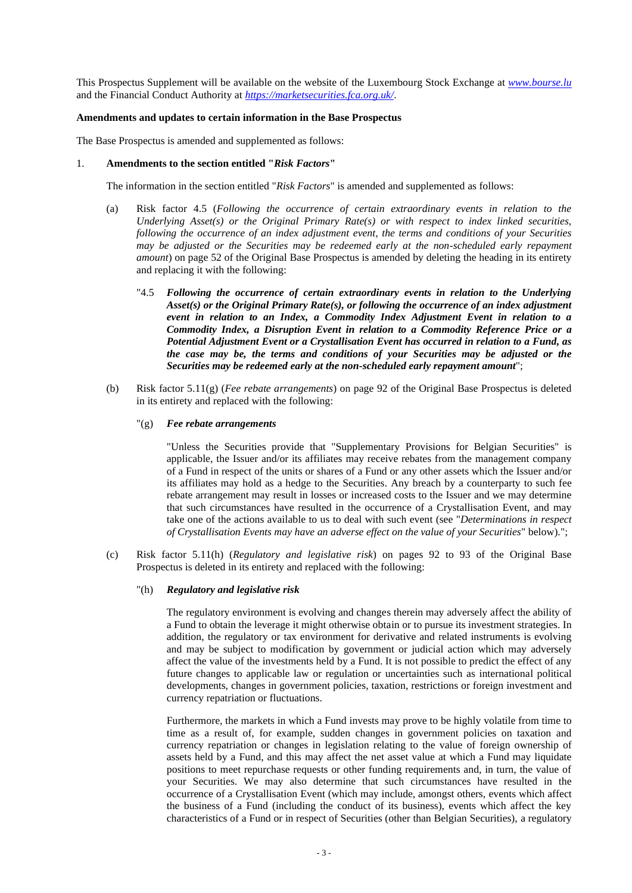This Prospectus Supplement will be available on the website of the Luxembourg Stock Exchange at *[www.bourse.lu](http://www.bourse.lu/)* and the Financial Conduct Authority at *https://marketsecurities.fca.org.uk/*.

#### **Amendments and updates to certain information in the Base Prospectus**

The Base Prospectus is amended and supplemented as follows:

## 1. **Amendments to the section entitled "***Risk Factors***"**

The information in the section entitled "*Risk Factors*" is amended and supplemented as follows:

- (a) Risk factor 4.5 (*Following the occurrence of certain extraordinary events in relation to the Underlying Asset(s) or the Original Primary Rate(s) or with respect to index linked securities, following the occurrence of an index adjustment event, the terms and conditions of your Securities may be adjusted or the Securities may be redeemed early at the non-scheduled early repayment amount*) on page 52 of the Original Base Prospectus is amended by deleting the heading in its entirety and replacing it with the following:
	- "4.5 *Following the occurrence of certain extraordinary events in relation to the Underlying Asset(s) or the Original Primary Rate(s), or following the occurrence of an index adjustment event in relation to an Index, a Commodity Index Adjustment Event in relation to a Commodity Index, a Disruption Event in relation to a Commodity Reference Price or a Potential Adjustment Event or a Crystallisation Event has occurred in relation to a Fund, as the case may be, the terms and conditions of your Securities may be adjusted or the Securities may be redeemed early at the non-scheduled early repayment amount*";
- (b) Risk factor 5.11(g) (*Fee rebate arrangements*) on page 92 of the Original Base Prospectus is deleted in its entirety and replaced with the following:

#### "(g) *Fee rebate arrangements*

"Unless the Securities provide that "Supplementary Provisions for Belgian Securities" is applicable, the Issuer and/or its affiliates may receive rebates from the management company of a Fund in respect of the units or shares of a Fund or any other assets which the Issuer and/or its affiliates may hold as a hedge to the Securities. Any breach by a counterparty to such fee rebate arrangement may result in losses or increased costs to the Issuer and we may determine that such circumstances have resulted in the occurrence of a Crystallisation Event, and may take one of the actions available to us to deal with such event (see "*Determinations in respect of Crystallisation Events may have an adverse effect on the value of your Securities*" below).";

(c) Risk factor 5.11(h) (*Regulatory and legislative risk*) on pages 92 to 93 of the Original Base Prospectus is deleted in its entirety and replaced with the following:

### "(h) *Regulatory and legislative risk*

The regulatory environment is evolving and changes therein may adversely affect the ability of a Fund to obtain the leverage it might otherwise obtain or to pursue its investment strategies. In addition, the regulatory or tax environment for derivative and related instruments is evolving and may be subject to modification by government or judicial action which may adversely affect the value of the investments held by a Fund. It is not possible to predict the effect of any future changes to applicable law or regulation or uncertainties such as international political developments, changes in government policies, taxation, restrictions or foreign investment and currency repatriation or fluctuations.

Furthermore, the markets in which a Fund invests may prove to be highly volatile from time to time as a result of, for example, sudden changes in government policies on taxation and currency repatriation or changes in legislation relating to the value of foreign ownership of assets held by a Fund, and this may affect the net asset value at which a Fund may liquidate positions to meet repurchase requests or other funding requirements and, in turn, the value of your Securities. We may also determine that such circumstances have resulted in the occurrence of a Crystallisation Event (which may include, amongst others, events which affect the business of a Fund (including the conduct of its business), events which affect the key characteristics of a Fund or in respect of Securities (other than Belgian Securities), a regulatory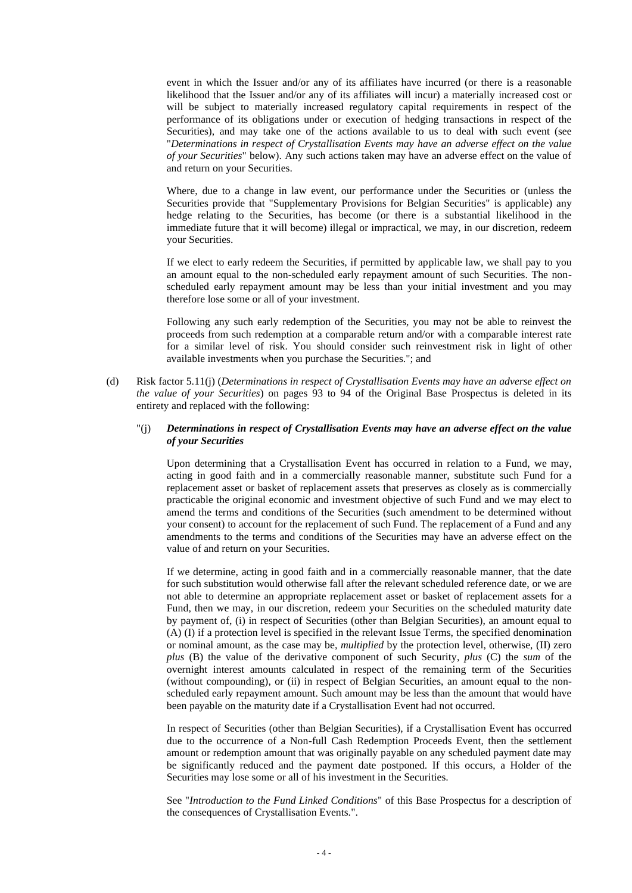event in which the Issuer and/or any of its affiliates have incurred (or there is a reasonable likelihood that the Issuer and/or any of its affiliates will incur) a materially increased cost or will be subject to materially increased regulatory capital requirements in respect of the performance of its obligations under or execution of hedging transactions in respect of the Securities), and may take one of the actions available to us to deal with such event (see "*Determinations in respect of Crystallisation Events may have an adverse effect on the value of your Securities*" below). Any such actions taken may have an adverse effect on the value of and return on your Securities.

Where, due to a change in law event, our performance under the Securities or (unless the Securities provide that "Supplementary Provisions for Belgian Securities" is applicable) any hedge relating to the Securities, has become (or there is a substantial likelihood in the immediate future that it will become) illegal or impractical, we may, in our discretion, redeem your Securities.

If we elect to early redeem the Securities, if permitted by applicable law, we shall pay to you an amount equal to the non-scheduled early repayment amount of such Securities. The nonscheduled early repayment amount may be less than your initial investment and you may therefore lose some or all of your investment.

Following any such early redemption of the Securities, you may not be able to reinvest the proceeds from such redemption at a comparable return and/or with a comparable interest rate for a similar level of risk. You should consider such reinvestment risk in light of other available investments when you purchase the Securities."; and

(d) Risk factor 5.11(j) (*Determinations in respect of Crystallisation Events may have an adverse effect on the value of your Securities*) on pages 93 to 94 of the Original Base Prospectus is deleted in its entirety and replaced with the following:

## "(j) *Determinations in respect of Crystallisation Events may have an adverse effect on the value of your Securities*

Upon determining that a Crystallisation Event has occurred in relation to a Fund, we may, acting in good faith and in a commercially reasonable manner, substitute such Fund for a replacement asset or basket of replacement assets that preserves as closely as is commercially practicable the original economic and investment objective of such Fund and we may elect to amend the terms and conditions of the Securities (such amendment to be determined without your consent) to account for the replacement of such Fund. The replacement of a Fund and any amendments to the terms and conditions of the Securities may have an adverse effect on the value of and return on your Securities.

If we determine, acting in good faith and in a commercially reasonable manner, that the date for such substitution would otherwise fall after the relevant scheduled reference date, or we are not able to determine an appropriate replacement asset or basket of replacement assets for a Fund, then we may, in our discretion, redeem your Securities on the scheduled maturity date by payment of, (i) in respect of Securities (other than Belgian Securities), an amount equal to (A) (I) if a protection level is specified in the relevant Issue Terms, the specified denomination or nominal amount, as the case may be, *multiplied* by the protection level, otherwise, (II) zero *plus* (B) the value of the derivative component of such Security, *plus* (C) the *sum* of the overnight interest amounts calculated in respect of the remaining term of the Securities (without compounding), or (ii) in respect of Belgian Securities, an amount equal to the nonscheduled early repayment amount. Such amount may be less than the amount that would have been payable on the maturity date if a Crystallisation Event had not occurred.

In respect of Securities (other than Belgian Securities), if a Crystallisation Event has occurred due to the occurrence of a Non-full Cash Redemption Proceeds Event, then the settlement amount or redemption amount that was originally payable on any scheduled payment date may be significantly reduced and the payment date postponed. If this occurs, a Holder of the Securities may lose some or all of his investment in the Securities.

See "*Introduction to the Fund Linked Conditions*" of this Base Prospectus for a description of the consequences of Crystallisation Events.".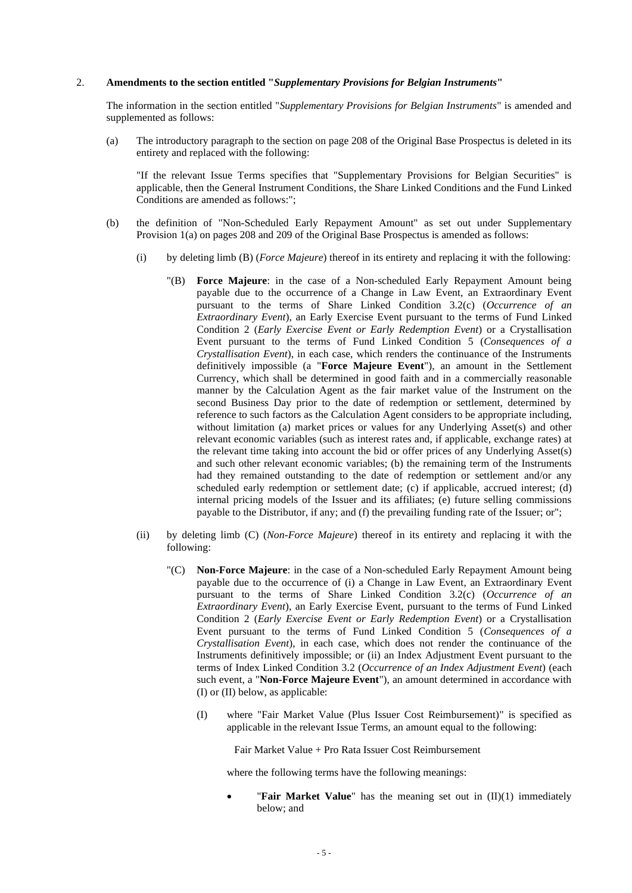## 2. **Amendments to the section entitled "***Supplementary Provisions for Belgian Instruments***"**

The information in the section entitled "*Supplementary Provisions for Belgian Instruments*" is amended and supplemented as follows:

(a) The introductory paragraph to the section on page 208 of the Original Base Prospectus is deleted in its entirety and replaced with the following:

"If the relevant Issue Terms specifies that "Supplementary Provisions for Belgian Securities" is applicable, then the General Instrument Conditions, the Share Linked Conditions and the Fund Linked Conditions are amended as follows:";

- (b) the definition of "Non-Scheduled Early Repayment Amount" as set out under Supplementary Provision 1(a) on pages 208 and 209 of the Original Base Prospectus is amended as follows:
	- (i) by deleting limb (B) (*Force Majeure*) thereof in its entirety and replacing it with the following:
		- "(B) **Force Majeure**: in the case of a Non-scheduled Early Repayment Amount being payable due to the occurrence of a Change in Law Event, an Extraordinary Event pursuant to the terms of Share Linked Condition 3.2(c) (*Occurrence of an Extraordinary Event*), an Early Exercise Event pursuant to the terms of Fund Linked Condition 2 (*Early Exercise Event or Early Redemption Event*) or a Crystallisation Event pursuant to the terms of Fund Linked Condition 5 (*Consequences of a Crystallisation Event*), in each case, which renders the continuance of the Instruments definitively impossible (a "**Force Majeure Event**"), an amount in the Settlement Currency, which shall be determined in good faith and in a commercially reasonable manner by the Calculation Agent as the fair market value of the Instrument on the second Business Day prior to the date of redemption or settlement, determined by reference to such factors as the Calculation Agent considers to be appropriate including, without limitation (a) market prices or values for any Underlying Asset(s) and other relevant economic variables (such as interest rates and, if applicable, exchange rates) at the relevant time taking into account the bid or offer prices of any Underlying Asset(s) and such other relevant economic variables; (b) the remaining term of the Instruments had they remained outstanding to the date of redemption or settlement and/or any scheduled early redemption or settlement date; (c) if applicable, accrued interest; (d) internal pricing models of the Issuer and its affiliates; (e) future selling commissions payable to the Distributor, if any; and (f) the prevailing funding rate of the Issuer; or";
	- (ii) by deleting limb (C) (*Non-Force Majeure*) thereof in its entirety and replacing it with the following:
		- "(C) **Non-Force Majeure**: in the case of a Non-scheduled Early Repayment Amount being payable due to the occurrence of (i) a Change in Law Event, an Extraordinary Event pursuant to the terms of Share Linked Condition 3.2(c) (*Occurrence of an Extraordinary Event*), an Early Exercise Event, pursuant to the terms of Fund Linked Condition 2 (*Early Exercise Event or Early Redemption Event*) or a Crystallisation Event pursuant to the terms of Fund Linked Condition 5 (*Consequences of a Crystallisation Event*), in each case, which does not render the continuance of the Instruments definitively impossible; or (ii) an Index Adjustment Event pursuant to the terms of Index Linked Condition 3.2 (*Occurrence of an Index Adjustment Event*) (each such event, a "**Non-Force Majeure Event**"), an amount determined in accordance with (I) or (II) below, as applicable:
			- (I) where "Fair Market Value (Plus Issuer Cost Reimbursement)" is specified as applicable in the relevant Issue Terms, an amount equal to the following:

Fair Market Value + Pro Rata Issuer Cost Reimbursement

where the following terms have the following meanings:

"Fair Market Value" has the meaning set out in (II)(1) immediately below; and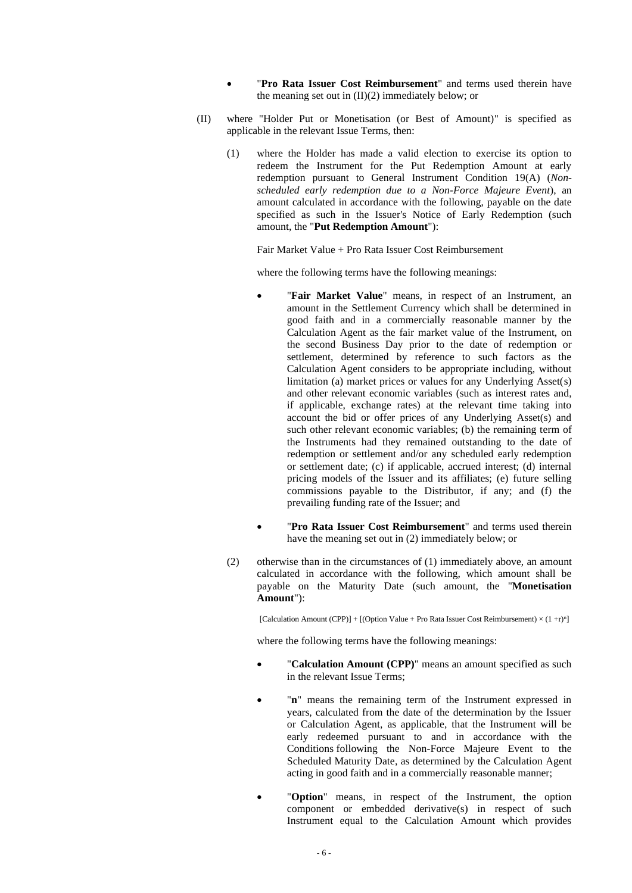- "Pro Rata Issuer Cost Reimbursement" and terms used therein have the meaning set out in  $(II)(2)$  immediately below; or
- (II) where "Holder Put or Monetisation (or Best of Amount)" is specified as applicable in the relevant Issue Terms, then:
	- (1) where the Holder has made a valid election to exercise its option to redeem the Instrument for the Put Redemption Amount at early redemption pursuant to General Instrument Condition 19(A) (*Nonscheduled early redemption due to a Non-Force Majeure Event*), an amount calculated in accordance with the following, payable on the date specified as such in the Issuer's Notice of Early Redemption (such amount, the "**Put Redemption Amount**"):

Fair Market Value + Pro Rata Issuer Cost Reimbursement

where the following terms have the following meanings:

- "Fair Market Value" means, in respect of an Instrument, an amount in the Settlement Currency which shall be determined in good faith and in a commercially reasonable manner by the Calculation Agent as the fair market value of the Instrument, on the second Business Day prior to the date of redemption or settlement, determined by reference to such factors as the Calculation Agent considers to be appropriate including, without limitation (a) market prices or values for any Underlying Asset(s) and other relevant economic variables (such as interest rates and, if applicable, exchange rates) at the relevant time taking into account the bid or offer prices of any Underlying Asset(s) and such other relevant economic variables; (b) the remaining term of the Instruments had they remained outstanding to the date of redemption or settlement and/or any scheduled early redemption or settlement date; (c) if applicable, accrued interest; (d) internal pricing models of the Issuer and its affiliates; (e) future selling commissions payable to the Distributor, if any; and (f) the prevailing funding rate of the Issuer; and
- "Pro Rata Issuer Cost Reimbursement" and terms used therein have the meaning set out in (2) immediately below; or
- (2) otherwise than in the circumstances of (1) immediately above, an amount calculated in accordance with the following, which amount shall be payable on the Maturity Date (such amount, the "**Monetisation Amount**"):

[Calculation Amount (CPP)] + [(Option Value + Pro Rata Issuer Cost Reimbursement)  $\times (1 + r)^n$ ]

where the following terms have the following meanings:

- "**Calculation Amount (CPP)**" means an amount specified as such in the relevant Issue Terms;
- "n" means the remaining term of the Instrument expressed in years, calculated from the date of the determination by the Issuer or Calculation Agent, as applicable, that the Instrument will be early redeemed pursuant to and in accordance with the Conditions following the Non-Force Majeure Event to the Scheduled Maturity Date, as determined by the Calculation Agent acting in good faith and in a commercially reasonable manner;
- "**Option**" means, in respect of the Instrument, the option component or embedded derivative(s) in respect of such Instrument equal to the Calculation Amount which provides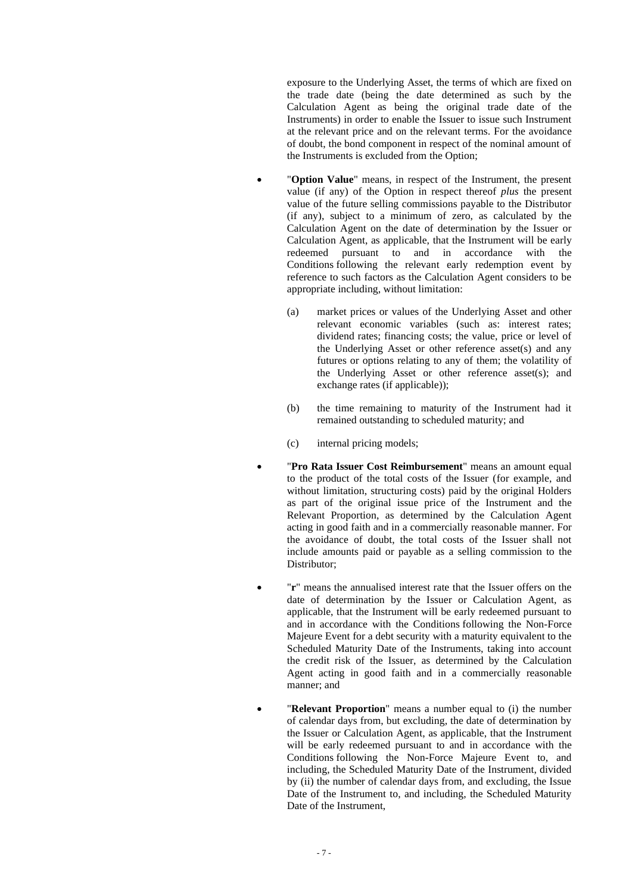exposure to the Underlying Asset, the terms of which are fixed on the trade date (being the date determined as such by the Calculation Agent as being the original trade date of the Instruments) in order to enable the Issuer to issue such Instrument at the relevant price and on the relevant terms. For the avoidance of doubt, the bond component in respect of the nominal amount of the Instruments is excluded from the Option;

- "**Option Value**" means, in respect of the Instrument, the present value (if any) of the Option in respect thereof *plus* the present value of the future selling commissions payable to the Distributor (if any), subject to a minimum of zero, as calculated by the Calculation Agent on the date of determination by the Issuer or Calculation Agent, as applicable, that the Instrument will be early redeemed pursuant to and in accordance with the Conditions following the relevant early redemption event by reference to such factors as the Calculation Agent considers to be appropriate including, without limitation:
	- (a) market prices or values of the Underlying Asset and other relevant economic variables (such as: interest rates; dividend rates; financing costs; the value, price or level of the Underlying Asset or other reference asset(s) and any futures or options relating to any of them; the volatility of the Underlying Asset or other reference asset(s); and exchange rates (if applicable));
	- (b) the time remaining to maturity of the Instrument had it remained outstanding to scheduled maturity; and
	- (c) internal pricing models;
	- "**Pro Rata Issuer Cost Reimbursement**" means an amount equal to the product of the total costs of the Issuer (for example, and without limitation, structuring costs) paid by the original Holders as part of the original issue price of the Instrument and the Relevant Proportion, as determined by the Calculation Agent acting in good faith and in a commercially reasonable manner. For the avoidance of doubt, the total costs of the Issuer shall not include amounts paid or payable as a selling commission to the Distributor;
- "**r**" means the annualised interest rate that the Issuer offers on the date of determination by the Issuer or Calculation Agent, as applicable, that the Instrument will be early redeemed pursuant to and in accordance with the Conditions following the Non-Force Majeure Event for a debt security with a maturity equivalent to the Scheduled Maturity Date of the Instruments, taking into account the credit risk of the Issuer, as determined by the Calculation Agent acting in good faith and in a commercially reasonable manner; and
- "Relevant Proportion" means a number equal to (i) the number of calendar days from, but excluding, the date of determination by the Issuer or Calculation Agent, as applicable, that the Instrument will be early redeemed pursuant to and in accordance with the Conditions following the Non-Force Majeure Event to, and including, the Scheduled Maturity Date of the Instrument, divided by (ii) the number of calendar days from, and excluding, the Issue Date of the Instrument to, and including, the Scheduled Maturity Date of the Instrument,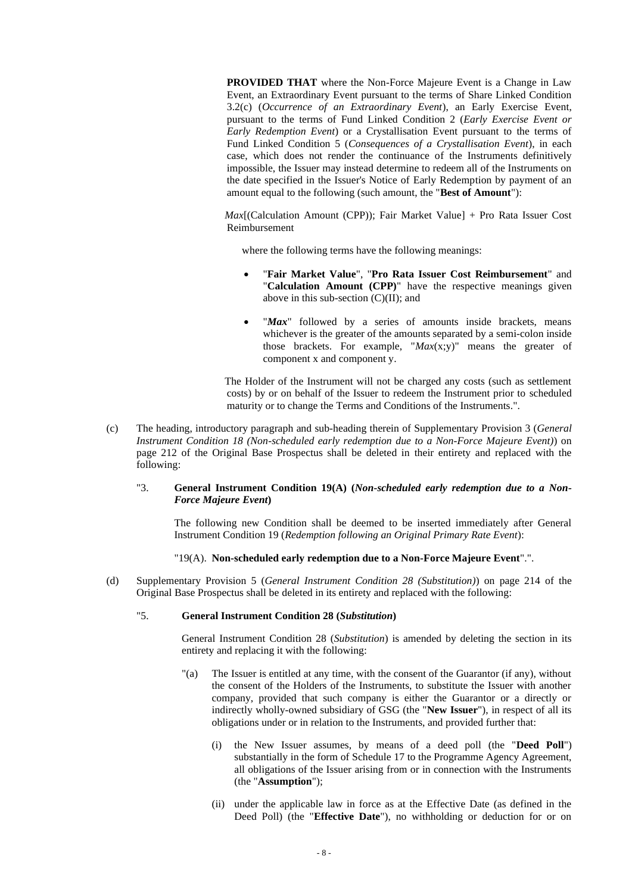**PROVIDED THAT** where the Non-Force Majeure Event is a Change in Law Event, an Extraordinary Event pursuant to the terms of Share Linked Condition 3.2(c) (*Occurrence of an Extraordinary Event*), an Early Exercise Event, pursuant to the terms of Fund Linked Condition 2 (*Early Exercise Event or Early Redemption Event*) or a Crystallisation Event pursuant to the terms of Fund Linked Condition 5 (*Consequences of a Crystallisation Event*), in each case, which does not render the continuance of the Instruments definitively impossible, the Issuer may instead determine to redeem all of the Instruments on the date specified in the Issuer's Notice of Early Redemption by payment of an amount equal to the following (such amount, the "**Best of Amount**"):

*Max*[(Calculation Amount (CPP)); Fair Market Value] + Pro Rata Issuer Cost Reimbursement

where the following terms have the following meanings:

- "**Fair Market Value**", "**Pro Rata Issuer Cost Reimbursement**" and "**Calculation Amount (CPP)**" have the respective meanings given above in this sub-section  $(C)(II)$ ; and
- "*Max*" followed by a series of amounts inside brackets, means whichever is the greater of the amounts separated by a semi-colon inside those brackets. For example, "*Max*(x;y)" means the greater of component x and component y.

The Holder of the Instrument will not be charged any costs (such as settlement costs) by or on behalf of the Issuer to redeem the Instrument prior to scheduled maturity or to change the Terms and Conditions of the Instruments.".

(c) The heading, introductory paragraph and sub-heading therein of Supplementary Provision 3 (*General Instrument Condition 18 (Non-scheduled early redemption due to a Non-Force Majeure Event)*) on page 212 of the Original Base Prospectus shall be deleted in their entirety and replaced with the following:

## "3. **General Instrument Condition 19(A) (***Non-scheduled early redemption due to a Non-Force Majeure Event***)**

The following new Condition shall be deemed to be inserted immediately after General Instrument Condition 19 (*Redemption following an Original Primary Rate Event*):

## "19(A). **Non-scheduled early redemption due to a Non-Force Majeure Event**".".

(d) Supplementary Provision 5 (*General Instrument Condition 28 (Substitution)*) on page 214 of the Original Base Prospectus shall be deleted in its entirety and replaced with the following:

### "5. **General Instrument Condition 28 (***Substitution***)**

General Instrument Condition 28 (*Substitution*) is amended by deleting the section in its entirety and replacing it with the following:

- "(a) The Issuer is entitled at any time, with the consent of the Guarantor (if any), without the consent of the Holders of the Instruments, to substitute the Issuer with another company, provided that such company is either the Guarantor or a directly or indirectly wholly-owned subsidiary of GSG (the "**New Issuer**"), in respect of all its obligations under or in relation to the Instruments, and provided further that:
	- (i) the New Issuer assumes, by means of a deed poll (the "**Deed Poll**") substantially in the form of Schedule 17 to the Programme Agency Agreement, all obligations of the Issuer arising from or in connection with the Instruments (the "**Assumption**");
	- (ii) under the applicable law in force as at the Effective Date (as defined in the Deed Poll) (the "**Effective Date**"), no withholding or deduction for or on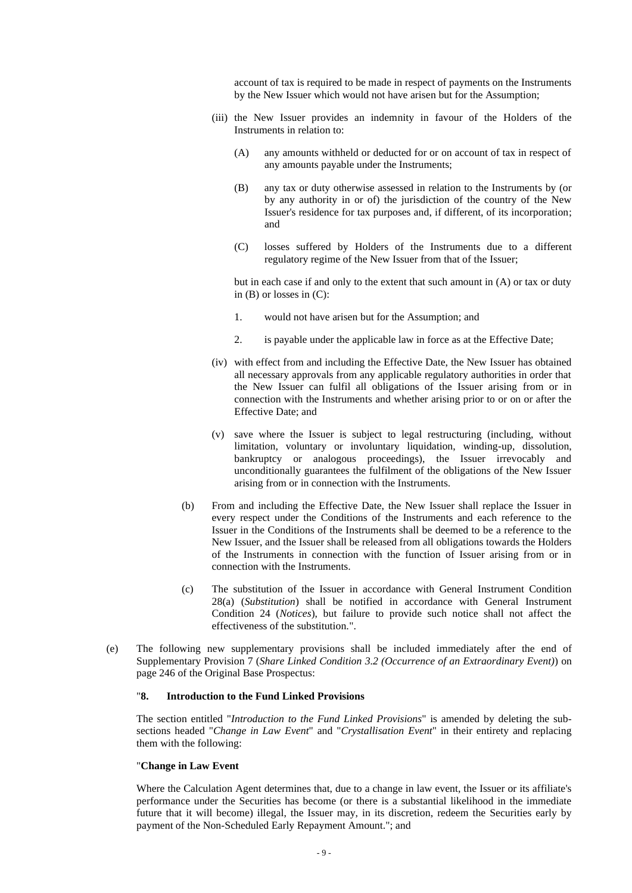account of tax is required to be made in respect of payments on the Instruments by the New Issuer which would not have arisen but for the Assumption;

- (iii) the New Issuer provides an indemnity in favour of the Holders of the Instruments in relation to:
	- (A) any amounts withheld or deducted for or on account of tax in respect of any amounts payable under the Instruments;
	- (B) any tax or duty otherwise assessed in relation to the Instruments by (or by any authority in or of) the jurisdiction of the country of the New Issuer's residence for tax purposes and, if different, of its incorporation; and
	- (C) losses suffered by Holders of the Instruments due to a different regulatory regime of the New Issuer from that of the Issuer;

but in each case if and only to the extent that such amount in (A) or tax or duty in (B) or losses in (C):

- 1. would not have arisen but for the Assumption; and
- 2. is payable under the applicable law in force as at the Effective Date;
- (iv) with effect from and including the Effective Date, the New Issuer has obtained all necessary approvals from any applicable regulatory authorities in order that the New Issuer can fulfil all obligations of the Issuer arising from or in connection with the Instruments and whether arising prior to or on or after the Effective Date; and
- (v) save where the Issuer is subject to legal restructuring (including, without limitation, voluntary or involuntary liquidation, winding-up, dissolution, bankruptcy or analogous proceedings), the Issuer irrevocably and unconditionally guarantees the fulfilment of the obligations of the New Issuer arising from or in connection with the Instruments.
- (b) From and including the Effective Date, the New Issuer shall replace the Issuer in every respect under the Conditions of the Instruments and each reference to the Issuer in the Conditions of the Instruments shall be deemed to be a reference to the New Issuer, and the Issuer shall be released from all obligations towards the Holders of the Instruments in connection with the function of Issuer arising from or in connection with the Instruments.
- (c) The substitution of the Issuer in accordance with General Instrument Condition 28(a) (*Substitution*) shall be notified in accordance with General Instrument Condition 24 (*Notices*), but failure to provide such notice shall not affect the effectiveness of the substitution.".
- (e) The following new supplementary provisions shall be included immediately after the end of Supplementary Provision 7 (*Share Linked Condition 3.2 (Occurrence of an Extraordinary Event)*) on page 246 of the Original Base Prospectus:

# "**8. Introduction to the Fund Linked Provisions**

The section entitled "*Introduction to the Fund Linked Provisions*" is amended by deleting the subsections headed "*Change in Law Event*" and "*Crystallisation Event*" in their entirety and replacing them with the following:

## "**Change in Law Event**

Where the Calculation Agent determines that, due to a change in law event, the Issuer or its affiliate's performance under the Securities has become (or there is a substantial likelihood in the immediate future that it will become) illegal, the Issuer may, in its discretion, redeem the Securities early by payment of the Non-Scheduled Early Repayment Amount."; and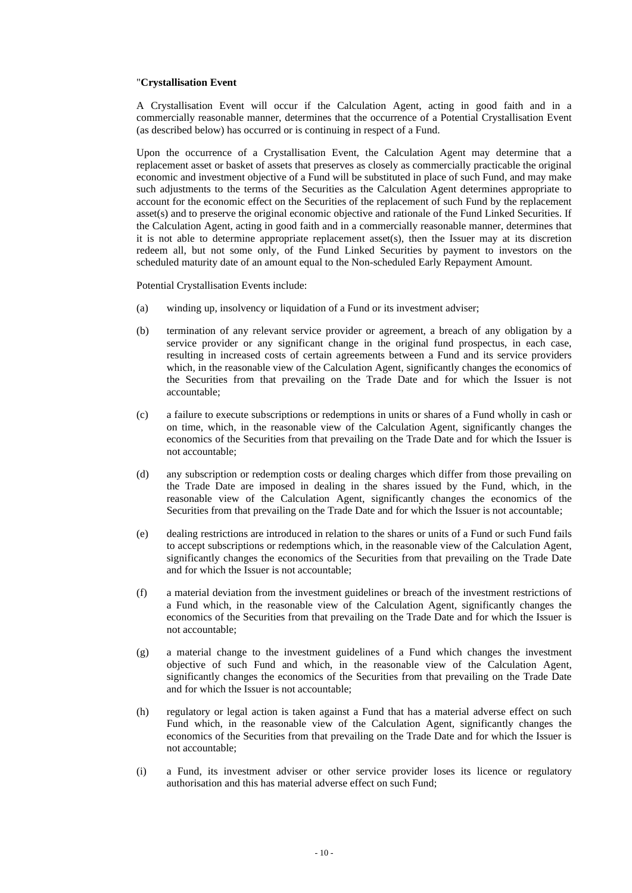## "**Crystallisation Event**

A Crystallisation Event will occur if the Calculation Agent, acting in good faith and in a commercially reasonable manner, determines that the occurrence of a Potential Crystallisation Event (as described below) has occurred or is continuing in respect of a Fund.

Upon the occurrence of a Crystallisation Event, the Calculation Agent may determine that a replacement asset or basket of assets that preserves as closely as commercially practicable the original economic and investment objective of a Fund will be substituted in place of such Fund, and may make such adjustments to the terms of the Securities as the Calculation Agent determines appropriate to account for the economic effect on the Securities of the replacement of such Fund by the replacement asset(s) and to preserve the original economic objective and rationale of the Fund Linked Securities. If the Calculation Agent, acting in good faith and in a commercially reasonable manner, determines that it is not able to determine appropriate replacement asset(s), then the Issuer may at its discretion redeem all, but not some only, of the Fund Linked Securities by payment to investors on the scheduled maturity date of an amount equal to the Non-scheduled Early Repayment Amount.

Potential Crystallisation Events include:

- (a) winding up, insolvency or liquidation of a Fund or its investment adviser;
- (b) termination of any relevant service provider or agreement, a breach of any obligation by a service provider or any significant change in the original fund prospectus, in each case, resulting in increased costs of certain agreements between a Fund and its service providers which, in the reasonable view of the Calculation Agent, significantly changes the economics of the Securities from that prevailing on the Trade Date and for which the Issuer is not accountable;
- (c) a failure to execute subscriptions or redemptions in units or shares of a Fund wholly in cash or on time, which, in the reasonable view of the Calculation Agent, significantly changes the economics of the Securities from that prevailing on the Trade Date and for which the Issuer is not accountable;
- (d) any subscription or redemption costs or dealing charges which differ from those prevailing on the Trade Date are imposed in dealing in the shares issued by the Fund, which, in the reasonable view of the Calculation Agent, significantly changes the economics of the Securities from that prevailing on the Trade Date and for which the Issuer is not accountable;
- (e) dealing restrictions are introduced in relation to the shares or units of a Fund or such Fund fails to accept subscriptions or redemptions which, in the reasonable view of the Calculation Agent, significantly changes the economics of the Securities from that prevailing on the Trade Date and for which the Issuer is not accountable;
- (f) a material deviation from the investment guidelines or breach of the investment restrictions of a Fund which, in the reasonable view of the Calculation Agent, significantly changes the economics of the Securities from that prevailing on the Trade Date and for which the Issuer is not accountable;
- (g) a material change to the investment guidelines of a Fund which changes the investment objective of such Fund and which, in the reasonable view of the Calculation Agent, significantly changes the economics of the Securities from that prevailing on the Trade Date and for which the Issuer is not accountable;
- (h) regulatory or legal action is taken against a Fund that has a material adverse effect on such Fund which, in the reasonable view of the Calculation Agent, significantly changes the economics of the Securities from that prevailing on the Trade Date and for which the Issuer is not accountable;
- (i) a Fund, its investment adviser or other service provider loses its licence or regulatory authorisation and this has material adverse effect on such Fund;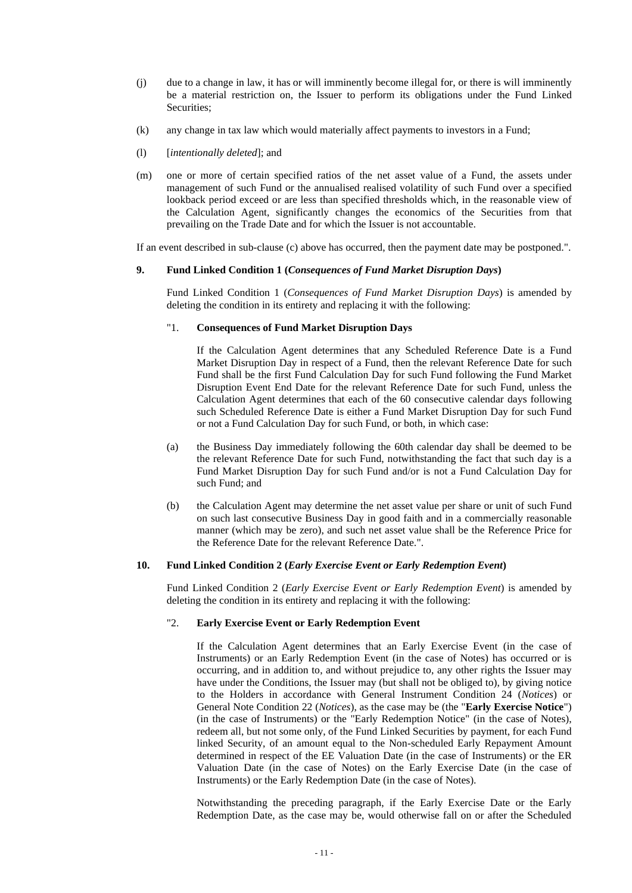- (j) due to a change in law, it has or will imminently become illegal for, or there is will imminently be a material restriction on, the Issuer to perform its obligations under the Fund Linked Securities;
- (k) any change in tax law which would materially affect payments to investors in a Fund;
- (l) [*intentionally deleted*]; and
- (m) one or more of certain specified ratios of the net asset value of a Fund, the assets under management of such Fund or the annualised realised volatility of such Fund over a specified lookback period exceed or are less than specified thresholds which, in the reasonable view of the Calculation Agent, significantly changes the economics of the Securities from that prevailing on the Trade Date and for which the Issuer is not accountable.

If an event described in sub-clause (c) above has occurred, then the payment date may be postponed.".

## **9. Fund Linked Condition 1 (***Consequences of Fund Market Disruption Days***)**

Fund Linked Condition 1 (*Consequences of Fund Market Disruption Days*) is amended by deleting the condition in its entirety and replacing it with the following:

#### "1. **Consequences of Fund Market Disruption Days**

If the Calculation Agent determines that any Scheduled Reference Date is a Fund Market Disruption Day in respect of a Fund, then the relevant Reference Date for such Fund shall be the first Fund Calculation Day for such Fund following the Fund Market Disruption Event End Date for the relevant Reference Date for such Fund, unless the Calculation Agent determines that each of the 60 consecutive calendar days following such Scheduled Reference Date is either a Fund Market Disruption Day for such Fund or not a Fund Calculation Day for such Fund, or both, in which case:

- (a) the Business Day immediately following the 60th calendar day shall be deemed to be the relevant Reference Date for such Fund, notwithstanding the fact that such day is a Fund Market Disruption Day for such Fund and/or is not a Fund Calculation Day for such Fund; and
- (b) the Calculation Agent may determine the net asset value per share or unit of such Fund on such last consecutive Business Day in good faith and in a commercially reasonable manner (which may be zero), and such net asset value shall be the Reference Price for the Reference Date for the relevant Reference Date.".

#### **10. Fund Linked Condition 2 (***Early Exercise Event or Early Redemption Event***)**

Fund Linked Condition 2 (*Early Exercise Event or Early Redemption Event*) is amended by deleting the condition in its entirety and replacing it with the following:

## "2. **Early Exercise Event or Early Redemption Event**

If the Calculation Agent determines that an Early Exercise Event (in the case of Instruments) or an Early Redemption Event (in the case of Notes) has occurred or is occurring, and in addition to, and without prejudice to, any other rights the Issuer may have under the Conditions, the Issuer may (but shall not be obliged to), by giving notice to the Holders in accordance with General Instrument Condition 24 (*Notices*) or General Note Condition 22 (*Notices*), as the case may be (the "**Early Exercise Notice**") (in the case of Instruments) or the "Early Redemption Notice" (in the case of Notes), redeem all, but not some only, of the Fund Linked Securities by payment, for each Fund linked Security, of an amount equal to the Non-scheduled Early Repayment Amount determined in respect of the EE Valuation Date (in the case of Instruments) or the ER Valuation Date (in the case of Notes) on the Early Exercise Date (in the case of Instruments) or the Early Redemption Date (in the case of Notes).

Notwithstanding the preceding paragraph, if the Early Exercise Date or the Early Redemption Date, as the case may be, would otherwise fall on or after the Scheduled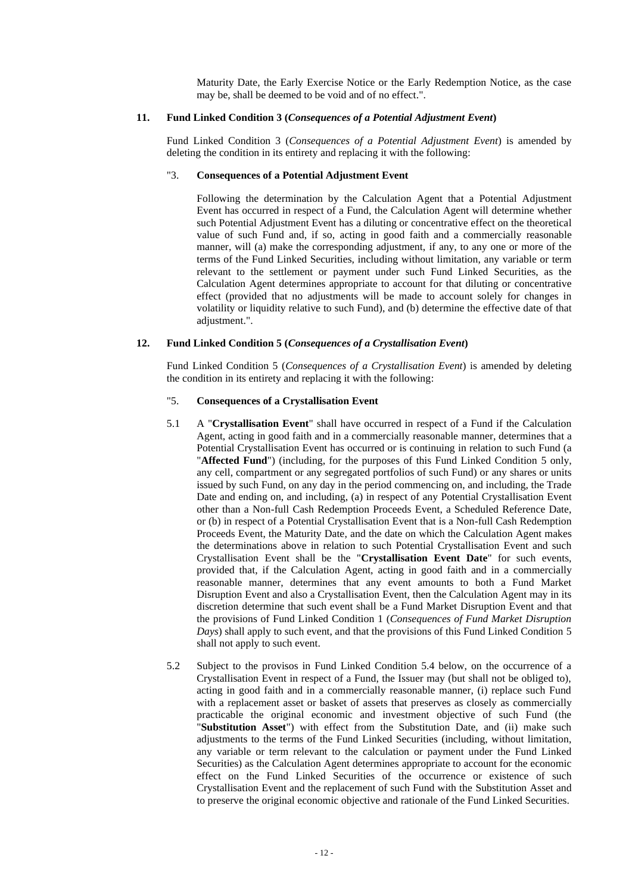Maturity Date, the Early Exercise Notice or the Early Redemption Notice, as the case may be, shall be deemed to be void and of no effect.".

#### **11. Fund Linked Condition 3 (***Consequences of a Potential Adjustment Event***)**

Fund Linked Condition 3 (*Consequences of a Potential Adjustment Event*) is amended by deleting the condition in its entirety and replacing it with the following:

#### "3. **Consequences of a Potential Adjustment Event**

Following the determination by the Calculation Agent that a Potential Adjustment Event has occurred in respect of a Fund, the Calculation Agent will determine whether such Potential Adjustment Event has a diluting or concentrative effect on the theoretical value of such Fund and, if so, acting in good faith and a commercially reasonable manner, will (a) make the corresponding adjustment, if any, to any one or more of the terms of the Fund Linked Securities, including without limitation, any variable or term relevant to the settlement or payment under such Fund Linked Securities, as the Calculation Agent determines appropriate to account for that diluting or concentrative effect (provided that no adjustments will be made to account solely for changes in volatility or liquidity relative to such Fund), and (b) determine the effective date of that adjustment.".

# **12. Fund Linked Condition 5 (***Consequences of a Crystallisation Event***)**

Fund Linked Condition 5 (*Consequences of a Crystallisation Event*) is amended by deleting the condition in its entirety and replacing it with the following:

# "5. **Consequences of a Crystallisation Event**

- 5.1 A "**Crystallisation Event**" shall have occurred in respect of a Fund if the Calculation Agent, acting in good faith and in a commercially reasonable manner, determines that a Potential Crystallisation Event has occurred or is continuing in relation to such Fund (a "**Affected Fund**") (including, for the purposes of this Fund Linked Condition 5 only, any cell, compartment or any segregated portfolios of such Fund) or any shares or units issued by such Fund, on any day in the period commencing on, and including, the Trade Date and ending on, and including, (a) in respect of any Potential Crystallisation Event other than a Non-full Cash Redemption Proceeds Event, a Scheduled Reference Date, or (b) in respect of a Potential Crystallisation Event that is a Non-full Cash Redemption Proceeds Event, the Maturity Date, and the date on which the Calculation Agent makes the determinations above in relation to such Potential Crystallisation Event and such Crystallisation Event shall be the "**Crystallisation Event Date**" for such events, provided that, if the Calculation Agent, acting in good faith and in a commercially reasonable manner, determines that any event amounts to both a Fund Market Disruption Event and also a Crystallisation Event, then the Calculation Agent may in its discretion determine that such event shall be a Fund Market Disruption Event and that the provisions of Fund Linked Condition 1 (*Consequences of Fund Market Disruption Days*) shall apply to such event, and that the provisions of this Fund Linked Condition 5 shall not apply to such event.
- 5.2 Subject to the provisos in Fund Linked Condition 5.4 below, on the occurrence of a Crystallisation Event in respect of a Fund, the Issuer may (but shall not be obliged to), acting in good faith and in a commercially reasonable manner, (i) replace such Fund with a replacement asset or basket of assets that preserves as closely as commercially practicable the original economic and investment objective of such Fund (the "**Substitution Asset**") with effect from the Substitution Date, and (ii) make such adjustments to the terms of the Fund Linked Securities (including, without limitation, any variable or term relevant to the calculation or payment under the Fund Linked Securities) as the Calculation Agent determines appropriate to account for the economic effect on the Fund Linked Securities of the occurrence or existence of such Crystallisation Event and the replacement of such Fund with the Substitution Asset and to preserve the original economic objective and rationale of the Fund Linked Securities.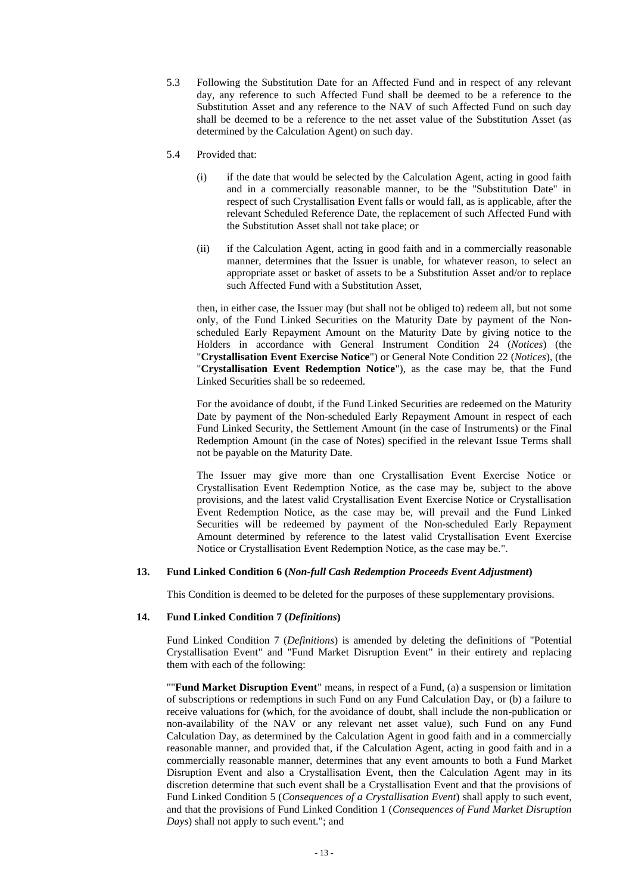- 5.3 Following the Substitution Date for an Affected Fund and in respect of any relevant day, any reference to such Affected Fund shall be deemed to be a reference to the Substitution Asset and any reference to the NAV of such Affected Fund on such day shall be deemed to be a reference to the net asset value of the Substitution Asset (as determined by the Calculation Agent) on such day.
- 5.4 Provided that:
	- (i) if the date that would be selected by the Calculation Agent, acting in good faith and in a commercially reasonable manner, to be the "Substitution Date" in respect of such Crystallisation Event falls or would fall, as is applicable, after the relevant Scheduled Reference Date, the replacement of such Affected Fund with the Substitution Asset shall not take place; or
	- (ii) if the Calculation Agent, acting in good faith and in a commercially reasonable manner, determines that the Issuer is unable, for whatever reason, to select an appropriate asset or basket of assets to be a Substitution Asset and/or to replace such Affected Fund with a Substitution Asset,

then, in either case, the Issuer may (but shall not be obliged to) redeem all, but not some only, of the Fund Linked Securities on the Maturity Date by payment of the Nonscheduled Early Repayment Amount on the Maturity Date by giving notice to the Holders in accordance with General Instrument Condition 24 (*Notices*) (the "**Crystallisation Event Exercise Notice**") or General Note Condition 22 (*Notices*), (the "**Crystallisation Event Redemption Notice**"), as the case may be, that the Fund Linked Securities shall be so redeemed.

For the avoidance of doubt, if the Fund Linked Securities are redeemed on the Maturity Date by payment of the Non-scheduled Early Repayment Amount in respect of each Fund Linked Security, the Settlement Amount (in the case of Instruments) or the Final Redemption Amount (in the case of Notes) specified in the relevant Issue Terms shall not be payable on the Maturity Date.

The Issuer may give more than one Crystallisation Event Exercise Notice or Crystallisation Event Redemption Notice, as the case may be, subject to the above provisions, and the latest valid Crystallisation Event Exercise Notice or Crystallisation Event Redemption Notice, as the case may be, will prevail and the Fund Linked Securities will be redeemed by payment of the Non-scheduled Early Repayment Amount determined by reference to the latest valid Crystallisation Event Exercise Notice or Crystallisation Event Redemption Notice, as the case may be.".

# **13. Fund Linked Condition 6 (***Non-full Cash Redemption Proceeds Event Adjustment***)**

This Condition is deemed to be deleted for the purposes of these supplementary provisions.

## **14. Fund Linked Condition 7 (***Definitions***)**

Fund Linked Condition 7 (*Definitions*) is amended by deleting the definitions of "Potential Crystallisation Event" and "Fund Market Disruption Event" in their entirety and replacing them with each of the following:

""**Fund Market Disruption Event**" means, in respect of a Fund, (a) a suspension or limitation of subscriptions or redemptions in such Fund on any Fund Calculation Day, or (b) a failure to receive valuations for (which, for the avoidance of doubt, shall include the non-publication or non-availability of the NAV or any relevant net asset value), such Fund on any Fund Calculation Day, as determined by the Calculation Agent in good faith and in a commercially reasonable manner, and provided that, if the Calculation Agent, acting in good faith and in a commercially reasonable manner, determines that any event amounts to both a Fund Market Disruption Event and also a Crystallisation Event, then the Calculation Agent may in its discretion determine that such event shall be a Crystallisation Event and that the provisions of Fund Linked Condition 5 (*Consequences of a Crystallisation Event*) shall apply to such event, and that the provisions of Fund Linked Condition 1 (*Consequences of Fund Market Disruption Days*) shall not apply to such event."; and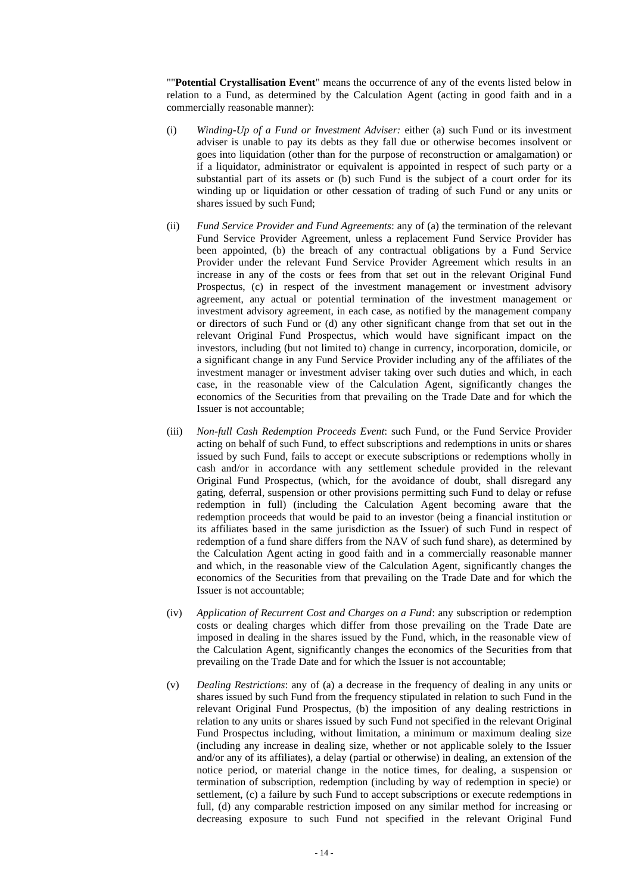""**Potential Crystallisation Event**" means the occurrence of any of the events listed below in relation to a Fund, as determined by the Calculation Agent (acting in good faith and in a commercially reasonable manner):

- (i) *Winding-Up of a Fund or Investment Adviser:* either (a) such Fund or its investment adviser is unable to pay its debts as they fall due or otherwise becomes insolvent or goes into liquidation (other than for the purpose of reconstruction or amalgamation) or if a liquidator, administrator or equivalent is appointed in respect of such party or a substantial part of its assets or (b) such Fund is the subject of a court order for its winding up or liquidation or other cessation of trading of such Fund or any units or shares issued by such Fund;
- (ii) *Fund Service Provider and Fund Agreements*: any of (a) the termination of the relevant Fund Service Provider Agreement, unless a replacement Fund Service Provider has been appointed, (b) the breach of any contractual obligations by a Fund Service Provider under the relevant Fund Service Provider Agreement which results in an increase in any of the costs or fees from that set out in the relevant Original Fund Prospectus, (c) in respect of the investment management or investment advisory agreement, any actual or potential termination of the investment management or investment advisory agreement, in each case, as notified by the management company or directors of such Fund or (d) any other significant change from that set out in the relevant Original Fund Prospectus, which would have significant impact on the investors, including (but not limited to) change in currency, incorporation, domicile, or a significant change in any Fund Service Provider including any of the affiliates of the investment manager or investment adviser taking over such duties and which, in each case, in the reasonable view of the Calculation Agent, significantly changes the economics of the Securities from that prevailing on the Trade Date and for which the Issuer is not accountable;
- (iii) *Non-full Cash Redemption Proceeds Event*: such Fund, or the Fund Service Provider acting on behalf of such Fund, to effect subscriptions and redemptions in units or shares issued by such Fund, fails to accept or execute subscriptions or redemptions wholly in cash and/or in accordance with any settlement schedule provided in the relevant Original Fund Prospectus, (which, for the avoidance of doubt, shall disregard any gating, deferral, suspension or other provisions permitting such Fund to delay or refuse redemption in full) (including the Calculation Agent becoming aware that the redemption proceeds that would be paid to an investor (being a financial institution or its affiliates based in the same jurisdiction as the Issuer) of such Fund in respect of redemption of a fund share differs from the NAV of such fund share), as determined by the Calculation Agent acting in good faith and in a commercially reasonable manner and which, in the reasonable view of the Calculation Agent, significantly changes the economics of the Securities from that prevailing on the Trade Date and for which the Issuer is not accountable;
- (iv) *Application of Recurrent Cost and Charges on a Fund*: any subscription or redemption costs or dealing charges which differ from those prevailing on the Trade Date are imposed in dealing in the shares issued by the Fund, which, in the reasonable view of the Calculation Agent, significantly changes the economics of the Securities from that prevailing on the Trade Date and for which the Issuer is not accountable;
- (v) *Dealing Restrictions*: any of (a) a decrease in the frequency of dealing in any units or shares issued by such Fund from the frequency stipulated in relation to such Fund in the relevant Original Fund Prospectus, (b) the imposition of any dealing restrictions in relation to any units or shares issued by such Fund not specified in the relevant Original Fund Prospectus including, without limitation, a minimum or maximum dealing size (including any increase in dealing size, whether or not applicable solely to the Issuer and/or any of its affiliates), a delay (partial or otherwise) in dealing, an extension of the notice period, or material change in the notice times, for dealing, a suspension or termination of subscription, redemption (including by way of redemption in specie) or settlement, (c) a failure by such Fund to accept subscriptions or execute redemptions in full, (d) any comparable restriction imposed on any similar method for increasing or decreasing exposure to such Fund not specified in the relevant Original Fund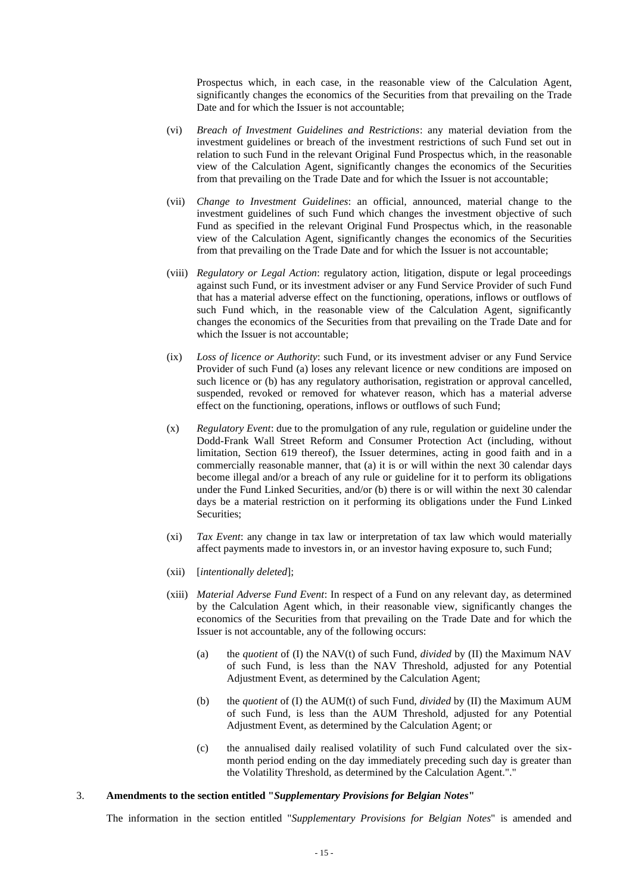Prospectus which, in each case, in the reasonable view of the Calculation Agent, significantly changes the economics of the Securities from that prevailing on the Trade Date and for which the Issuer is not accountable;

- (vi) *Breach of Investment Guidelines and Restrictions*: any material deviation from the investment guidelines or breach of the investment restrictions of such Fund set out in relation to such Fund in the relevant Original Fund Prospectus which, in the reasonable view of the Calculation Agent, significantly changes the economics of the Securities from that prevailing on the Trade Date and for which the Issuer is not accountable;
- (vii) *Change to Investment Guidelines*: an official, announced, material change to the investment guidelines of such Fund which changes the investment objective of such Fund as specified in the relevant Original Fund Prospectus which, in the reasonable view of the Calculation Agent, significantly changes the economics of the Securities from that prevailing on the Trade Date and for which the Issuer is not accountable;
- (viii) *Regulatory or Legal Action*: regulatory action, litigation, dispute or legal proceedings against such Fund, or its investment adviser or any Fund Service Provider of such Fund that has a material adverse effect on the functioning, operations, inflows or outflows of such Fund which, in the reasonable view of the Calculation Agent, significantly changes the economics of the Securities from that prevailing on the Trade Date and for which the Issuer is not accountable;
- (ix) *Loss of licence or Authority*: such Fund, or its investment adviser or any Fund Service Provider of such Fund (a) loses any relevant licence or new conditions are imposed on such licence or (b) has any regulatory authorisation, registration or approval cancelled, suspended, revoked or removed for whatever reason, which has a material adverse effect on the functioning, operations, inflows or outflows of such Fund;
- (x) *Regulatory Event*: due to the promulgation of any rule, regulation or guideline under the Dodd-Frank Wall Street Reform and Consumer Protection Act (including, without limitation, Section 619 thereof), the Issuer determines, acting in good faith and in a commercially reasonable manner, that (a) it is or will within the next 30 calendar days become illegal and/or a breach of any rule or guideline for it to perform its obligations under the Fund Linked Securities, and/or (b) there is or will within the next 30 calendar days be a material restriction on it performing its obligations under the Fund Linked Securities;
- (xi) *Tax Event*: any change in tax law or interpretation of tax law which would materially affect payments made to investors in, or an investor having exposure to, such Fund;
- (xii) [*intentionally deleted*];
- (xiii) *Material Adverse Fund Event*: In respect of a Fund on any relevant day, as determined by the Calculation Agent which, in their reasonable view, significantly changes the economics of the Securities from that prevailing on the Trade Date and for which the Issuer is not accountable, any of the following occurs:
	- (a) the *quotient* of (I) the NAV(t) of such Fund, *divided* by (II) the Maximum NAV of such Fund, is less than the NAV Threshold, adjusted for any Potential Adjustment Event, as determined by the Calculation Agent;
	- (b) the *quotient* of (I) the AUM(t) of such Fund, *divided* by (II) the Maximum AUM of such Fund, is less than the AUM Threshold, adjusted for any Potential Adjustment Event, as determined by the Calculation Agent; or
	- (c) the annualised daily realised volatility of such Fund calculated over the sixmonth period ending on the day immediately preceding such day is greater than the Volatility Threshold, as determined by the Calculation Agent."."

## 3. **Amendments to the section entitled "***Supplementary Provisions for Belgian Notes***"**

The information in the section entitled "*Supplementary Provisions for Belgian Notes*" is amended and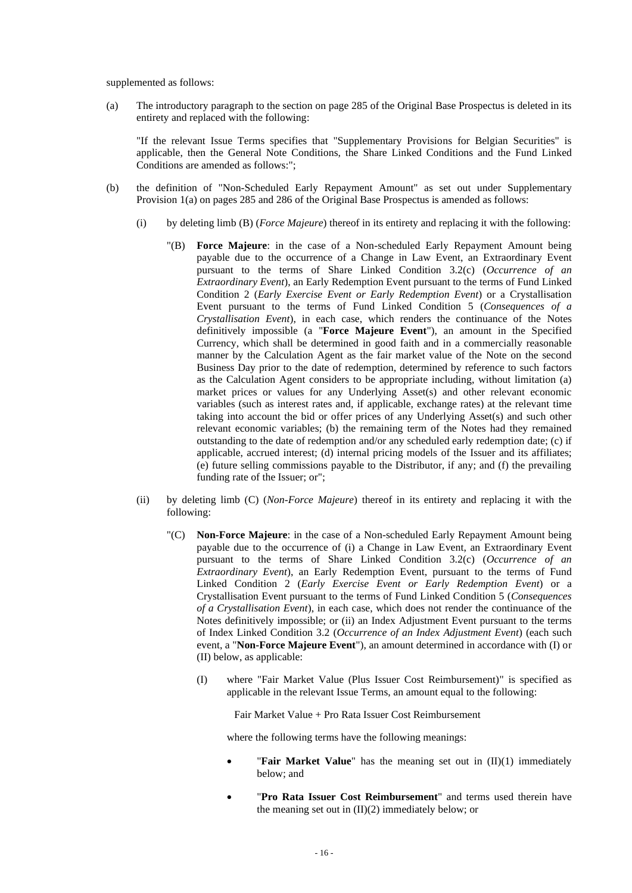supplemented as follows:

(a) The introductory paragraph to the section on page 285 of the Original Base Prospectus is deleted in its entirety and replaced with the following:

"If the relevant Issue Terms specifies that "Supplementary Provisions for Belgian Securities" is applicable, then the General Note Conditions, the Share Linked Conditions and the Fund Linked Conditions are amended as follows:";

- (b) the definition of "Non-Scheduled Early Repayment Amount" as set out under Supplementary Provision 1(a) on pages 285 and 286 of the Original Base Prospectus is amended as follows:
	- (i) by deleting limb (B) (*Force Majeure*) thereof in its entirety and replacing it with the following:
		- "(B) **Force Majeure**: in the case of a Non-scheduled Early Repayment Amount being payable due to the occurrence of a Change in Law Event, an Extraordinary Event pursuant to the terms of Share Linked Condition 3.2(c) (*Occurrence of an Extraordinary Event*), an Early Redemption Event pursuant to the terms of Fund Linked Condition 2 (*Early Exercise Event or Early Redemption Event*) or a Crystallisation Event pursuant to the terms of Fund Linked Condition 5 (*Consequences of a Crystallisation Event*), in each case, which renders the continuance of the Notes definitively impossible (a "**Force Majeure Event**"), an amount in the Specified Currency, which shall be determined in good faith and in a commercially reasonable manner by the Calculation Agent as the fair market value of the Note on the second Business Day prior to the date of redemption, determined by reference to such factors as the Calculation Agent considers to be appropriate including, without limitation (a) market prices or values for any Underlying Asset(s) and other relevant economic variables (such as interest rates and, if applicable, exchange rates) at the relevant time taking into account the bid or offer prices of any Underlying Asset(s) and such other relevant economic variables; (b) the remaining term of the Notes had they remained outstanding to the date of redemption and/or any scheduled early redemption date; (c) if applicable, accrued interest; (d) internal pricing models of the Issuer and its affiliates; (e) future selling commissions payable to the Distributor, if any; and (f) the prevailing funding rate of the Issuer; or";
	- (ii) by deleting limb (C) (*Non-Force Majeure*) thereof in its entirety and replacing it with the following:
		- "(C) **Non-Force Majeure**: in the case of a Non-scheduled Early Repayment Amount being payable due to the occurrence of (i) a Change in Law Event, an Extraordinary Event pursuant to the terms of Share Linked Condition 3.2(c) (*Occurrence of an Extraordinary Event*), an Early Redemption Event, pursuant to the terms of Fund Linked Condition 2 (*Early Exercise Event or Early Redemption Event*) or a Crystallisation Event pursuant to the terms of Fund Linked Condition 5 (*Consequences of a Crystallisation Event*), in each case, which does not render the continuance of the Notes definitively impossible; or (ii) an Index Adjustment Event pursuant to the terms of Index Linked Condition 3.2 (*Occurrence of an Index Adjustment Event*) (each such event, a "**Non-Force Majeure Event**"), an amount determined in accordance with (I) or (II) below, as applicable:
			- (I) where "Fair Market Value (Plus Issuer Cost Reimbursement)" is specified as applicable in the relevant Issue Terms, an amount equal to the following:

Fair Market Value + Pro Rata Issuer Cost Reimbursement

where the following terms have the following meanings:

- "**Fair Market Value**" has the meaning set out in (II)(1) immediately below; and
- "Pro Rata Issuer Cost Reimbursement" and terms used therein have the meaning set out in  $(II)(2)$  immediately below; or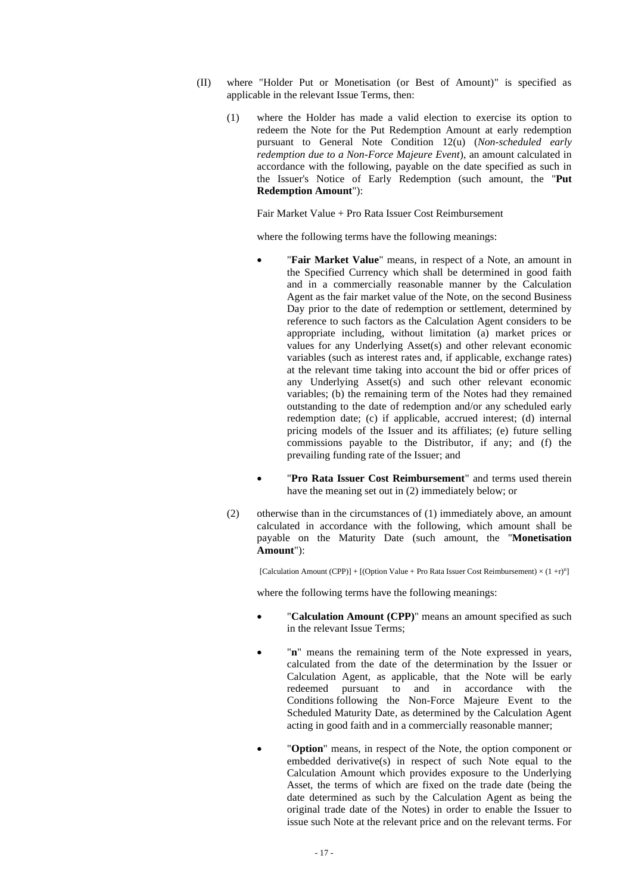- (II) where "Holder Put or Monetisation (or Best of Amount)" is specified as applicable in the relevant Issue Terms, then:
	- (1) where the Holder has made a valid election to exercise its option to redeem the Note for the Put Redemption Amount at early redemption pursuant to General Note Condition 12(u) (*Non-scheduled early redemption due to a Non-Force Majeure Event*), an amount calculated in accordance with the following, payable on the date specified as such in the Issuer's Notice of Early Redemption (such amount, the "**Put Redemption Amount**"):

Fair Market Value + Pro Rata Issuer Cost Reimbursement

where the following terms have the following meanings:

- "**Fair Market Value**" means, in respect of a Note, an amount in the Specified Currency which shall be determined in good faith and in a commercially reasonable manner by the Calculation Agent as the fair market value of the Note, on the second Business Day prior to the date of redemption or settlement, determined by reference to such factors as the Calculation Agent considers to be appropriate including, without limitation (a) market prices or values for any Underlying Asset(s) and other relevant economic variables (such as interest rates and, if applicable, exchange rates) at the relevant time taking into account the bid or offer prices of any Underlying Asset(s) and such other relevant economic variables; (b) the remaining term of the Notes had they remained outstanding to the date of redemption and/or any scheduled early redemption date; (c) if applicable, accrued interest; (d) internal pricing models of the Issuer and its affiliates; (e) future selling commissions payable to the Distributor, if any; and (f) the prevailing funding rate of the Issuer; and
- "**Pro Rata Issuer Cost Reimbursement**" and terms used therein have the meaning set out in (2) immediately below; or
- (2) otherwise than in the circumstances of (1) immediately above, an amount calculated in accordance with the following, which amount shall be payable on the Maturity Date (such amount, the "**Monetisation Amount**"):

[Calculation Amount (CPP)] + [(Option Value + Pro Rata Issuer Cost Reimbursement)  $\times (1 + r)^n$ ]

where the following terms have the following meanings:

- "**Calculation Amount (CPP)**" means an amount specified as such in the relevant Issue Terms;
- "n" means the remaining term of the Note expressed in years, calculated from the date of the determination by the Issuer or Calculation Agent, as applicable, that the Note will be early redeemed pursuant to and in accordance with the Conditions following the Non-Force Majeure Event to the Scheduled Maturity Date, as determined by the Calculation Agent acting in good faith and in a commercially reasonable manner;
- "**Option**" means, in respect of the Note, the option component or embedded derivative(s) in respect of such Note equal to the Calculation Amount which provides exposure to the Underlying Asset, the terms of which are fixed on the trade date (being the date determined as such by the Calculation Agent as being the original trade date of the Notes) in order to enable the Issuer to issue such Note at the relevant price and on the relevant terms. For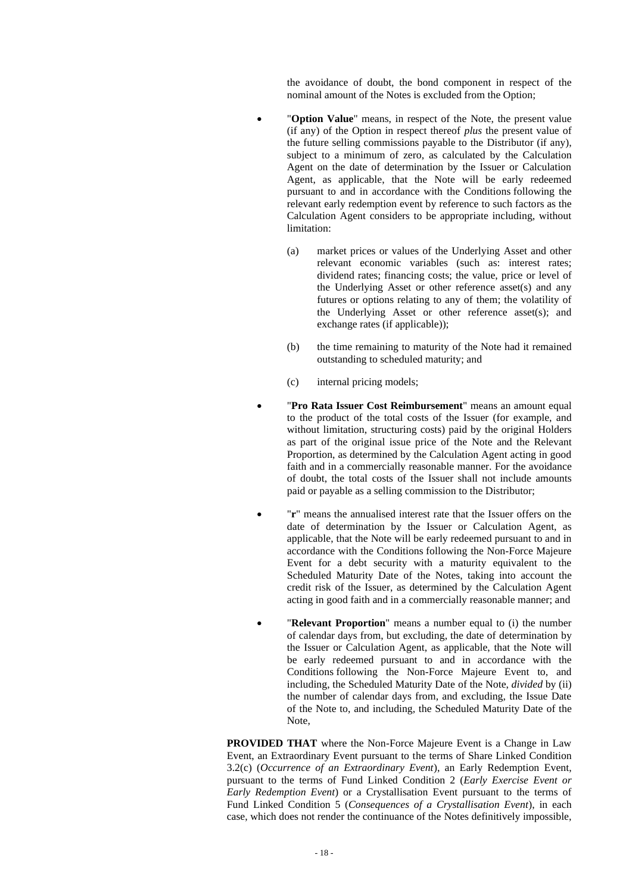the avoidance of doubt, the bond component in respect of the nominal amount of the Notes is excluded from the Option;

- "**Option Value**" means, in respect of the Note, the present value (if any) of the Option in respect thereof *plus* the present value of the future selling commissions payable to the Distributor (if any), subject to a minimum of zero, as calculated by the Calculation Agent on the date of determination by the Issuer or Calculation Agent, as applicable, that the Note will be early redeemed pursuant to and in accordance with the Conditions following the relevant early redemption event by reference to such factors as the Calculation Agent considers to be appropriate including, without limitation:
	- (a) market prices or values of the Underlying Asset and other relevant economic variables (such as: interest rates; dividend rates; financing costs; the value, price or level of the Underlying Asset or other reference asset(s) and any futures or options relating to any of them; the volatility of the Underlying Asset or other reference asset(s); and exchange rates (if applicable));
	- (b) the time remaining to maturity of the Note had it remained outstanding to scheduled maturity; and
	- (c) internal pricing models;
- "**Pro Rata Issuer Cost Reimbursement**" means an amount equal to the product of the total costs of the Issuer (for example, and without limitation, structuring costs) paid by the original Holders as part of the original issue price of the Note and the Relevant Proportion, as determined by the Calculation Agent acting in good faith and in a commercially reasonable manner. For the avoidance of doubt, the total costs of the Issuer shall not include amounts paid or payable as a selling commission to the Distributor;
- "**r**" means the annualised interest rate that the Issuer offers on the date of determination by the Issuer or Calculation Agent, as applicable, that the Note will be early redeemed pursuant to and in accordance with the Conditions following the Non-Force Majeure Event for a debt security with a maturity equivalent to the Scheduled Maturity Date of the Notes, taking into account the credit risk of the Issuer, as determined by the Calculation Agent acting in good faith and in a commercially reasonable manner; and
- "Relevant Proportion" means a number equal to (i) the number of calendar days from, but excluding, the date of determination by the Issuer or Calculation Agent, as applicable, that the Note will be early redeemed pursuant to and in accordance with the Conditions following the Non-Force Majeure Event to, and including, the Scheduled Maturity Date of the Note, *divided* by (ii) the number of calendar days from, and excluding, the Issue Date of the Note to, and including, the Scheduled Maturity Date of the Note,

**PROVIDED THAT** where the Non-Force Majeure Event is a Change in Law Event, an Extraordinary Event pursuant to the terms of Share Linked Condition 3.2(c) (*Occurrence of an Extraordinary Event*), an Early Redemption Event, pursuant to the terms of Fund Linked Condition 2 (*Early Exercise Event or Early Redemption Event*) or a Crystallisation Event pursuant to the terms of Fund Linked Condition 5 (*Consequences of a Crystallisation Event*), in each case, which does not render the continuance of the Notes definitively impossible,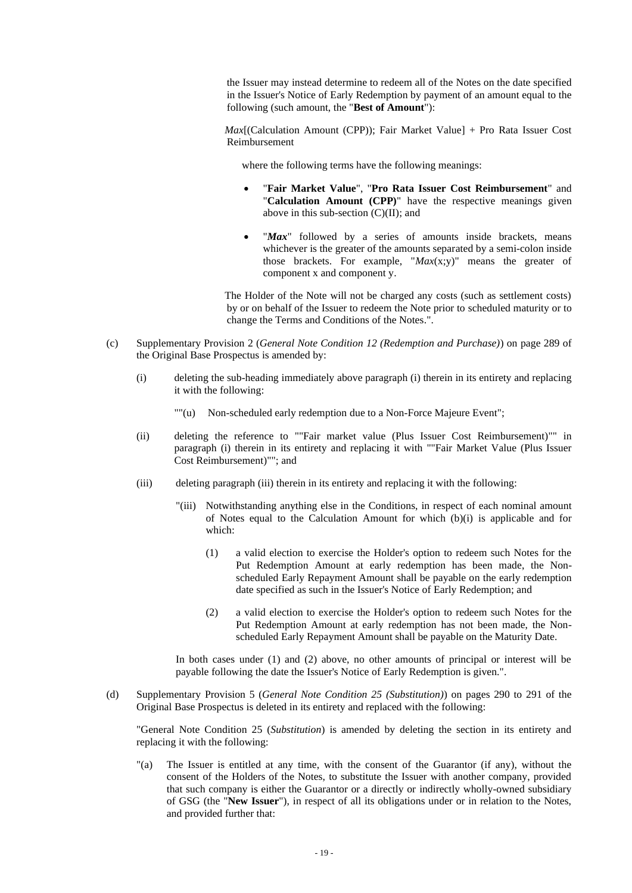the Issuer may instead determine to redeem all of the Notes on the date specified in the Issuer's Notice of Early Redemption by payment of an amount equal to the following (such amount, the "**Best of Amount**"):

*Max*[(Calculation Amount (CPP)); Fair Market Value] + Pro Rata Issuer Cost Reimbursement

where the following terms have the following meanings:

- "**Fair Market Value**", "**Pro Rata Issuer Cost Reimbursement**" and "**Calculation Amount (CPP)**" have the respective meanings given above in this sub-section  $(C)(II)$ ; and
- "Max" followed by a series of amounts inside brackets, means whichever is the greater of the amounts separated by a semi-colon inside those brackets. For example, "*Max*(x;y)" means the greater of component x and component y.

The Holder of the Note will not be charged any costs (such as settlement costs) by or on behalf of the Issuer to redeem the Note prior to scheduled maturity or to change the Terms and Conditions of the Notes.".

- (c) Supplementary Provision 2 (*General Note Condition 12 (Redemption and Purchase)*) on page 289 of the Original Base Prospectus is amended by:
	- (i) deleting the sub-heading immediately above paragraph (i) therein in its entirety and replacing it with the following:
		- ""(u) Non-scheduled early redemption due to a Non-Force Majeure Event";
	- (ii) deleting the reference to ""Fair market value (Plus Issuer Cost Reimbursement)"" in paragraph (i) therein in its entirety and replacing it with ""Fair Market Value (Plus Issuer Cost Reimbursement)""; and
	- (iii) deleting paragraph (iii) therein in its entirety and replacing it with the following:
		- "(iii) Notwithstanding anything else in the Conditions, in respect of each nominal amount of Notes equal to the Calculation Amount for which (b)(i) is applicable and for which:
			- (1) a valid election to exercise the Holder's option to redeem such Notes for the Put Redemption Amount at early redemption has been made, the Nonscheduled Early Repayment Amount shall be payable on the early redemption date specified as such in the Issuer's Notice of Early Redemption; and
			- (2) a valid election to exercise the Holder's option to redeem such Notes for the Put Redemption Amount at early redemption has not been made, the Nonscheduled Early Repayment Amount shall be payable on the Maturity Date.

In both cases under (1) and (2) above, no other amounts of principal or interest will be payable following the date the Issuer's Notice of Early Redemption is given.".

(d) Supplementary Provision 5 (*General Note Condition 25 (Substitution)*) on pages 290 to 291 of the Original Base Prospectus is deleted in its entirety and replaced with the following:

"General Note Condition 25 (*Substitution*) is amended by deleting the section in its entirety and replacing it with the following:

"(a) The Issuer is entitled at any time, with the consent of the Guarantor (if any), without the consent of the Holders of the Notes, to substitute the Issuer with another company, provided that such company is either the Guarantor or a directly or indirectly wholly-owned subsidiary of GSG (the "**New Issuer**"), in respect of all its obligations under or in relation to the Notes, and provided further that: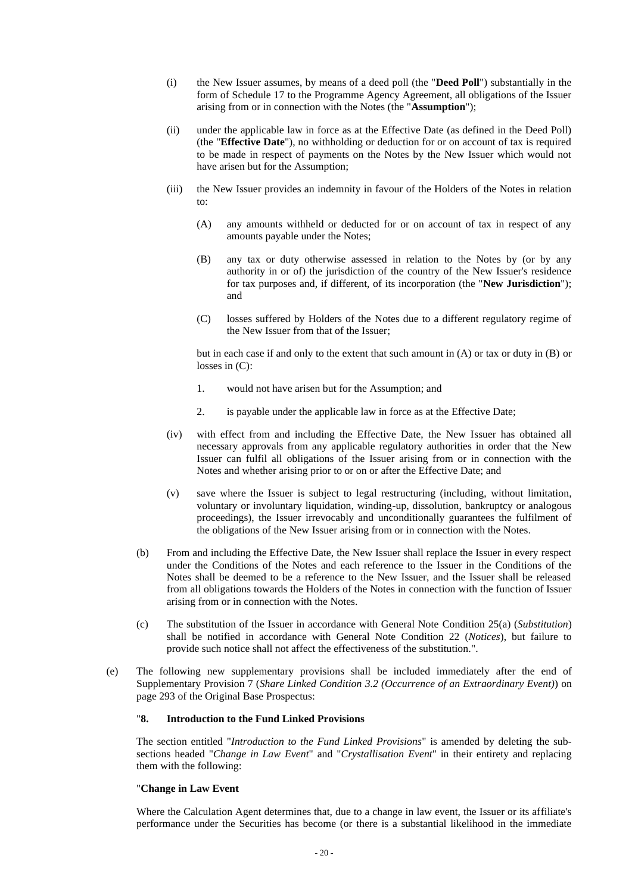- (i) the New Issuer assumes, by means of a deed poll (the "**Deed Poll**") substantially in the form of Schedule 17 to the Programme Agency Agreement, all obligations of the Issuer arising from or in connection with the Notes (the "**Assumption**");
- (ii) under the applicable law in force as at the Effective Date (as defined in the Deed Poll) (the "**Effective Date**"), no withholding or deduction for or on account of tax is required to be made in respect of payments on the Notes by the New Issuer which would not have arisen but for the Assumption;
- (iii) the New Issuer provides an indemnity in favour of the Holders of the Notes in relation to:
	- (A) any amounts withheld or deducted for or on account of tax in respect of any amounts payable under the Notes;
	- (B) any tax or duty otherwise assessed in relation to the Notes by (or by any authority in or of) the jurisdiction of the country of the New Issuer's residence for tax purposes and, if different, of its incorporation (the "**New Jurisdiction**"); and
	- (C) losses suffered by Holders of the Notes due to a different regulatory regime of the New Issuer from that of the Issuer;

but in each case if and only to the extent that such amount in (A) or tax or duty in (B) or losses in (C):

- 1. would not have arisen but for the Assumption; and
- 2. is payable under the applicable law in force as at the Effective Date;
- (iv) with effect from and including the Effective Date, the New Issuer has obtained all necessary approvals from any applicable regulatory authorities in order that the New Issuer can fulfil all obligations of the Issuer arising from or in connection with the Notes and whether arising prior to or on or after the Effective Date; and
- (v) save where the Issuer is subject to legal restructuring (including, without limitation, voluntary or involuntary liquidation, winding-up, dissolution, bankruptcy or analogous proceedings), the Issuer irrevocably and unconditionally guarantees the fulfilment of the obligations of the New Issuer arising from or in connection with the Notes.
- (b) From and including the Effective Date, the New Issuer shall replace the Issuer in every respect under the Conditions of the Notes and each reference to the Issuer in the Conditions of the Notes shall be deemed to be a reference to the New Issuer, and the Issuer shall be released from all obligations towards the Holders of the Notes in connection with the function of Issuer arising from or in connection with the Notes.
- (c) The substitution of the Issuer in accordance with General Note Condition 25(a) (*Substitution*) shall be notified in accordance with General Note Condition 22 (*Notices*), but failure to provide such notice shall not affect the effectiveness of the substitution.".
- (e) The following new supplementary provisions shall be included immediately after the end of Supplementary Provision 7 (*Share Linked Condition 3.2 (Occurrence of an Extraordinary Event)*) on page 293 of the Original Base Prospectus:

# "**8. Introduction to the Fund Linked Provisions**

The section entitled "*Introduction to the Fund Linked Provisions*" is amended by deleting the subsections headed "*Change in Law Event*" and "*Crystallisation Event*" in their entirety and replacing them with the following:

#### "**Change in Law Event**

Where the Calculation Agent determines that, due to a change in law event, the Issuer or its affiliate's performance under the Securities has become (or there is a substantial likelihood in the immediate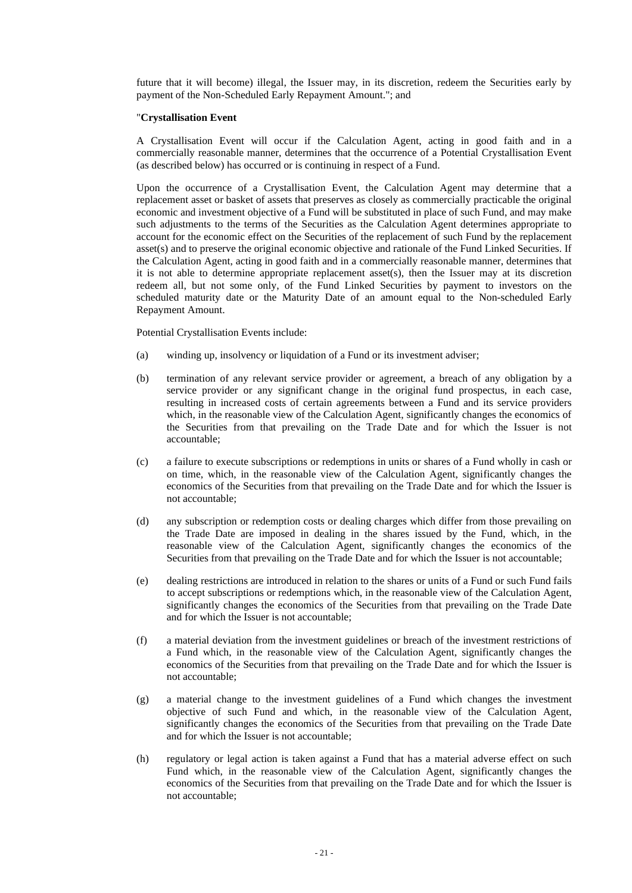future that it will become) illegal, the Issuer may, in its discretion, redeem the Securities early by payment of the Non-Scheduled Early Repayment Amount."; and

## "**Crystallisation Event**

A Crystallisation Event will occur if the Calculation Agent, acting in good faith and in a commercially reasonable manner, determines that the occurrence of a Potential Crystallisation Event (as described below) has occurred or is continuing in respect of a Fund.

Upon the occurrence of a Crystallisation Event, the Calculation Agent may determine that a replacement asset or basket of assets that preserves as closely as commercially practicable the original economic and investment objective of a Fund will be substituted in place of such Fund, and may make such adjustments to the terms of the Securities as the Calculation Agent determines appropriate to account for the economic effect on the Securities of the replacement of such Fund by the replacement asset(s) and to preserve the original economic objective and rationale of the Fund Linked Securities. If the Calculation Agent, acting in good faith and in a commercially reasonable manner, determines that it is not able to determine appropriate replacement asset(s), then the Issuer may at its discretion redeem all, but not some only, of the Fund Linked Securities by payment to investors on the scheduled maturity date or the Maturity Date of an amount equal to the Non-scheduled Early Repayment Amount.

Potential Crystallisation Events include:

- (a) winding up, insolvency or liquidation of a Fund or its investment adviser;
- (b) termination of any relevant service provider or agreement, a breach of any obligation by a service provider or any significant change in the original fund prospectus, in each case, resulting in increased costs of certain agreements between a Fund and its service providers which, in the reasonable view of the Calculation Agent, significantly changes the economics of the Securities from that prevailing on the Trade Date and for which the Issuer is not accountable;
- (c) a failure to execute subscriptions or redemptions in units or shares of a Fund wholly in cash or on time, which, in the reasonable view of the Calculation Agent, significantly changes the economics of the Securities from that prevailing on the Trade Date and for which the Issuer is not accountable;
- (d) any subscription or redemption costs or dealing charges which differ from those prevailing on the Trade Date are imposed in dealing in the shares issued by the Fund, which, in the reasonable view of the Calculation Agent, significantly changes the economics of the Securities from that prevailing on the Trade Date and for which the Issuer is not accountable;
- (e) dealing restrictions are introduced in relation to the shares or units of a Fund or such Fund fails to accept subscriptions or redemptions which, in the reasonable view of the Calculation Agent, significantly changes the economics of the Securities from that prevailing on the Trade Date and for which the Issuer is not accountable;
- (f) a material deviation from the investment guidelines or breach of the investment restrictions of a Fund which, in the reasonable view of the Calculation Agent, significantly changes the economics of the Securities from that prevailing on the Trade Date and for which the Issuer is not accountable;
- (g) a material change to the investment guidelines of a Fund which changes the investment objective of such Fund and which, in the reasonable view of the Calculation Agent, significantly changes the economics of the Securities from that prevailing on the Trade Date and for which the Issuer is not accountable;
- (h) regulatory or legal action is taken against a Fund that has a material adverse effect on such Fund which, in the reasonable view of the Calculation Agent, significantly changes the economics of the Securities from that prevailing on the Trade Date and for which the Issuer is not accountable;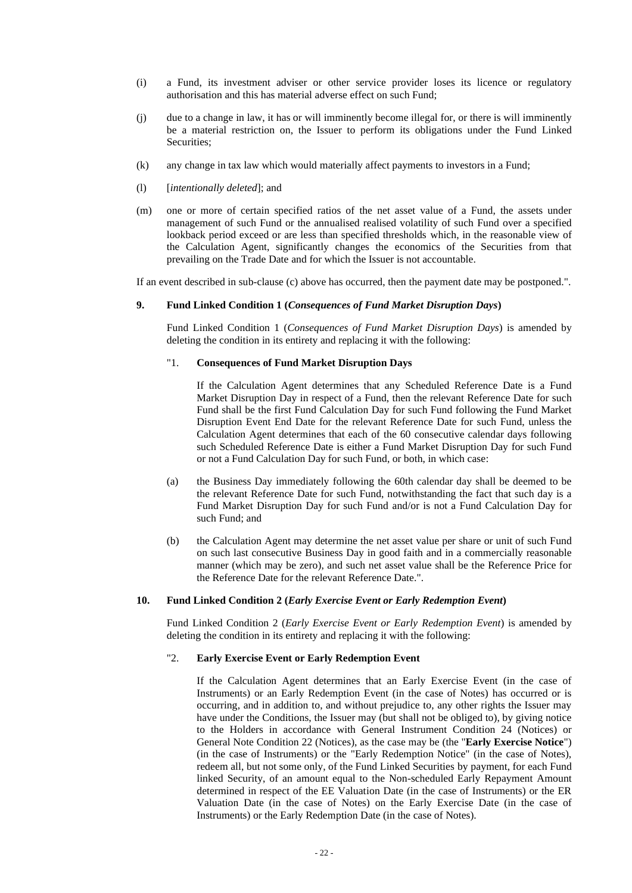- (i) a Fund, its investment adviser or other service provider loses its licence or regulatory authorisation and this has material adverse effect on such Fund;
- (j) due to a change in law, it has or will imminently become illegal for, or there is will imminently be a material restriction on, the Issuer to perform its obligations under the Fund Linked Securities:
- (k) any change in tax law which would materially affect payments to investors in a Fund;
- (l) [*intentionally deleted*]; and
- (m) one or more of certain specified ratios of the net asset value of a Fund, the assets under management of such Fund or the annualised realised volatility of such Fund over a specified lookback period exceed or are less than specified thresholds which, in the reasonable view of the Calculation Agent, significantly changes the economics of the Securities from that prevailing on the Trade Date and for which the Issuer is not accountable.

If an event described in sub-clause (c) above has occurred, then the payment date may be postponed.".

#### **9. Fund Linked Condition 1 (***Consequences of Fund Market Disruption Days***)**

Fund Linked Condition 1 (*Consequences of Fund Market Disruption Days*) is amended by deleting the condition in its entirety and replacing it with the following:

# "1. **Consequences of Fund Market Disruption Days**

If the Calculation Agent determines that any Scheduled Reference Date is a Fund Market Disruption Day in respect of a Fund, then the relevant Reference Date for such Fund shall be the first Fund Calculation Day for such Fund following the Fund Market Disruption Event End Date for the relevant Reference Date for such Fund, unless the Calculation Agent determines that each of the 60 consecutive calendar days following such Scheduled Reference Date is either a Fund Market Disruption Day for such Fund or not a Fund Calculation Day for such Fund, or both, in which case:

- (a) the Business Day immediately following the 60th calendar day shall be deemed to be the relevant Reference Date for such Fund, notwithstanding the fact that such day is a Fund Market Disruption Day for such Fund and/or is not a Fund Calculation Day for such Fund; and
- (b) the Calculation Agent may determine the net asset value per share or unit of such Fund on such last consecutive Business Day in good faith and in a commercially reasonable manner (which may be zero), and such net asset value shall be the Reference Price for the Reference Date for the relevant Reference Date.".

#### **10. Fund Linked Condition 2 (***Early Exercise Event or Early Redemption Event***)**

Fund Linked Condition 2 (*Early Exercise Event or Early Redemption Event*) is amended by deleting the condition in its entirety and replacing it with the following:

## "2. **Early Exercise Event or Early Redemption Event**

If the Calculation Agent determines that an Early Exercise Event (in the case of Instruments) or an Early Redemption Event (in the case of Notes) has occurred or is occurring, and in addition to, and without prejudice to, any other rights the Issuer may have under the Conditions, the Issuer may (but shall not be obliged to), by giving notice to the Holders in accordance with General Instrument Condition 24 (Notices) or General Note Condition 22 (Notices), as the case may be (the "**Early Exercise Notice**") (in the case of Instruments) or the "Early Redemption Notice" (in the case of Notes), redeem all, but not some only, of the Fund Linked Securities by payment, for each Fund linked Security, of an amount equal to the Non-scheduled Early Repayment Amount determined in respect of the EE Valuation Date (in the case of Instruments) or the ER Valuation Date (in the case of Notes) on the Early Exercise Date (in the case of Instruments) or the Early Redemption Date (in the case of Notes).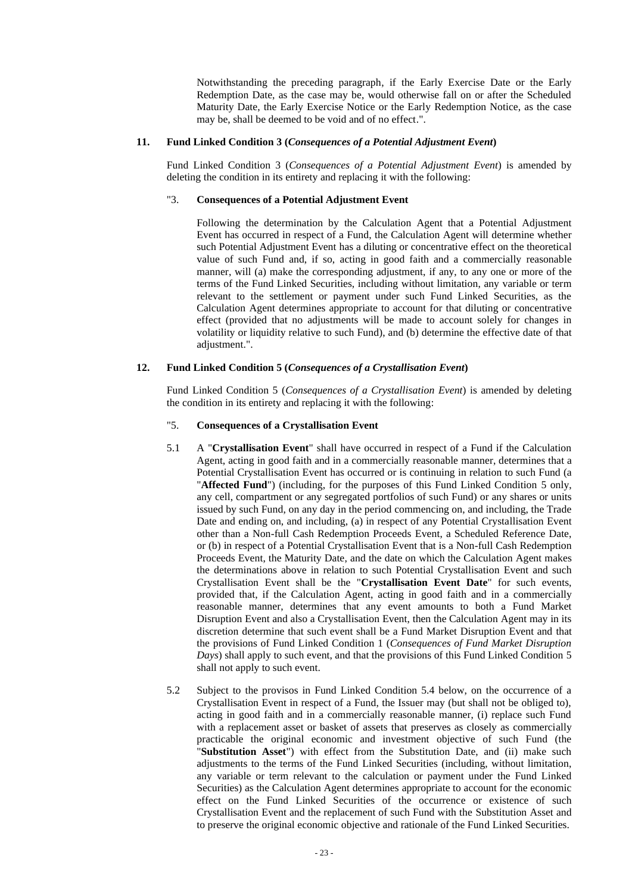Notwithstanding the preceding paragraph, if the Early Exercise Date or the Early Redemption Date, as the case may be, would otherwise fall on or after the Scheduled Maturity Date, the Early Exercise Notice or the Early Redemption Notice, as the case may be, shall be deemed to be void and of no effect.".

## **11. Fund Linked Condition 3 (***Consequences of a Potential Adjustment Event***)**

Fund Linked Condition 3 (*Consequences of a Potential Adjustment Event*) is amended by deleting the condition in its entirety and replacing it with the following:

## "3. **Consequences of a Potential Adjustment Event**

Following the determination by the Calculation Agent that a Potential Adjustment Event has occurred in respect of a Fund, the Calculation Agent will determine whether such Potential Adjustment Event has a diluting or concentrative effect on the theoretical value of such Fund and, if so, acting in good faith and a commercially reasonable manner, will (a) make the corresponding adjustment, if any, to any one or more of the terms of the Fund Linked Securities, including without limitation, any variable or term relevant to the settlement or payment under such Fund Linked Securities, as the Calculation Agent determines appropriate to account for that diluting or concentrative effect (provided that no adjustments will be made to account solely for changes in volatility or liquidity relative to such Fund), and (b) determine the effective date of that adjustment.".

# **12. Fund Linked Condition 5 (***Consequences of a Crystallisation Event***)**

Fund Linked Condition 5 (*Consequences of a Crystallisation Event*) is amended by deleting the condition in its entirety and replacing it with the following:

# "5. **Consequences of a Crystallisation Event**

- 5.1 A "**Crystallisation Event**" shall have occurred in respect of a Fund if the Calculation Agent, acting in good faith and in a commercially reasonable manner, determines that a Potential Crystallisation Event has occurred or is continuing in relation to such Fund (a "**Affected Fund**") (including, for the purposes of this Fund Linked Condition 5 only, any cell, compartment or any segregated portfolios of such Fund) or any shares or units issued by such Fund, on any day in the period commencing on, and including, the Trade Date and ending on, and including, (a) in respect of any Potential Crystallisation Event other than a Non-full Cash Redemption Proceeds Event, a Scheduled Reference Date, or (b) in respect of a Potential Crystallisation Event that is a Non-full Cash Redemption Proceeds Event, the Maturity Date, and the date on which the Calculation Agent makes the determinations above in relation to such Potential Crystallisation Event and such Crystallisation Event shall be the "**Crystallisation Event Date**" for such events, provided that, if the Calculation Agent, acting in good faith and in a commercially reasonable manner, determines that any event amounts to both a Fund Market Disruption Event and also a Crystallisation Event, then the Calculation Agent may in its discretion determine that such event shall be a Fund Market Disruption Event and that the provisions of Fund Linked Condition 1 (*Consequences of Fund Market Disruption Days*) shall apply to such event, and that the provisions of this Fund Linked Condition 5 shall not apply to such event.
- 5.2 Subject to the provisos in Fund Linked Condition 5.4 below, on the occurrence of a Crystallisation Event in respect of a Fund, the Issuer may (but shall not be obliged to), acting in good faith and in a commercially reasonable manner, (i) replace such Fund with a replacement asset or basket of assets that preserves as closely as commercially practicable the original economic and investment objective of such Fund (the "**Substitution Asset**") with effect from the Substitution Date, and (ii) make such adjustments to the terms of the Fund Linked Securities (including, without limitation, any variable or term relevant to the calculation or payment under the Fund Linked Securities) as the Calculation Agent determines appropriate to account for the economic effect on the Fund Linked Securities of the occurrence or existence of such Crystallisation Event and the replacement of such Fund with the Substitution Asset and to preserve the original economic objective and rationale of the Fund Linked Securities.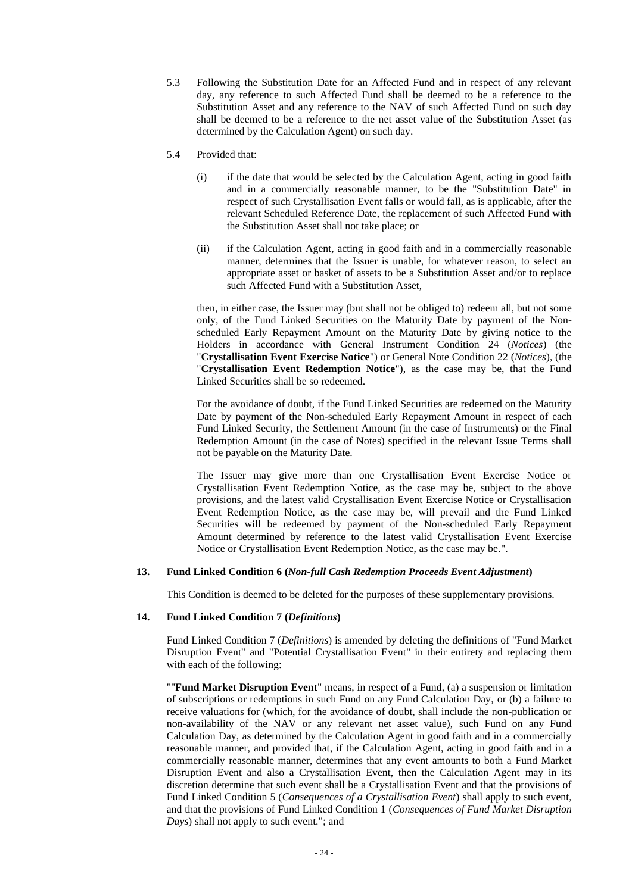- 5.3 Following the Substitution Date for an Affected Fund and in respect of any relevant day, any reference to such Affected Fund shall be deemed to be a reference to the Substitution Asset and any reference to the NAV of such Affected Fund on such day shall be deemed to be a reference to the net asset value of the Substitution Asset (as determined by the Calculation Agent) on such day.
- 5.4 Provided that:
	- (i) if the date that would be selected by the Calculation Agent, acting in good faith and in a commercially reasonable manner, to be the "Substitution Date" in respect of such Crystallisation Event falls or would fall, as is applicable, after the relevant Scheduled Reference Date, the replacement of such Affected Fund with the Substitution Asset shall not take place; or
	- (ii) if the Calculation Agent, acting in good faith and in a commercially reasonable manner, determines that the Issuer is unable, for whatever reason, to select an appropriate asset or basket of assets to be a Substitution Asset and/or to replace such Affected Fund with a Substitution Asset,

then, in either case, the Issuer may (but shall not be obliged to) redeem all, but not some only, of the Fund Linked Securities on the Maturity Date by payment of the Nonscheduled Early Repayment Amount on the Maturity Date by giving notice to the Holders in accordance with General Instrument Condition 24 (*Notices*) (the "**Crystallisation Event Exercise Notice**") or General Note Condition 22 (*Notices*), (the "**Crystallisation Event Redemption Notice**"), as the case may be, that the Fund Linked Securities shall be so redeemed.

For the avoidance of doubt, if the Fund Linked Securities are redeemed on the Maturity Date by payment of the Non-scheduled Early Repayment Amount in respect of each Fund Linked Security, the Settlement Amount (in the case of Instruments) or the Final Redemption Amount (in the case of Notes) specified in the relevant Issue Terms shall not be payable on the Maturity Date.

The Issuer may give more than one Crystallisation Event Exercise Notice or Crystallisation Event Redemption Notice, as the case may be, subject to the above provisions, and the latest valid Crystallisation Event Exercise Notice or Crystallisation Event Redemption Notice, as the case may be, will prevail and the Fund Linked Securities will be redeemed by payment of the Non-scheduled Early Repayment Amount determined by reference to the latest valid Crystallisation Event Exercise Notice or Crystallisation Event Redemption Notice, as the case may be.".

# **13. Fund Linked Condition 6 (***Non-full Cash Redemption Proceeds Event Adjustment***)**

This Condition is deemed to be deleted for the purposes of these supplementary provisions.

#### **14. Fund Linked Condition 7 (***Definitions***)**

Fund Linked Condition 7 (*Definitions*) is amended by deleting the definitions of "Fund Market Disruption Event" and "Potential Crystallisation Event" in their entirety and replacing them with each of the following:

""**Fund Market Disruption Event**" means, in respect of a Fund, (a) a suspension or limitation of subscriptions or redemptions in such Fund on any Fund Calculation Day, or (b) a failure to receive valuations for (which, for the avoidance of doubt, shall include the non-publication or non-availability of the NAV or any relevant net asset value), such Fund on any Fund Calculation Day, as determined by the Calculation Agent in good faith and in a commercially reasonable manner, and provided that, if the Calculation Agent, acting in good faith and in a commercially reasonable manner, determines that any event amounts to both a Fund Market Disruption Event and also a Crystallisation Event, then the Calculation Agent may in its discretion determine that such event shall be a Crystallisation Event and that the provisions of Fund Linked Condition 5 (*Consequences of a Crystallisation Event*) shall apply to such event, and that the provisions of Fund Linked Condition 1 (*Consequences of Fund Market Disruption Days*) shall not apply to such event."; and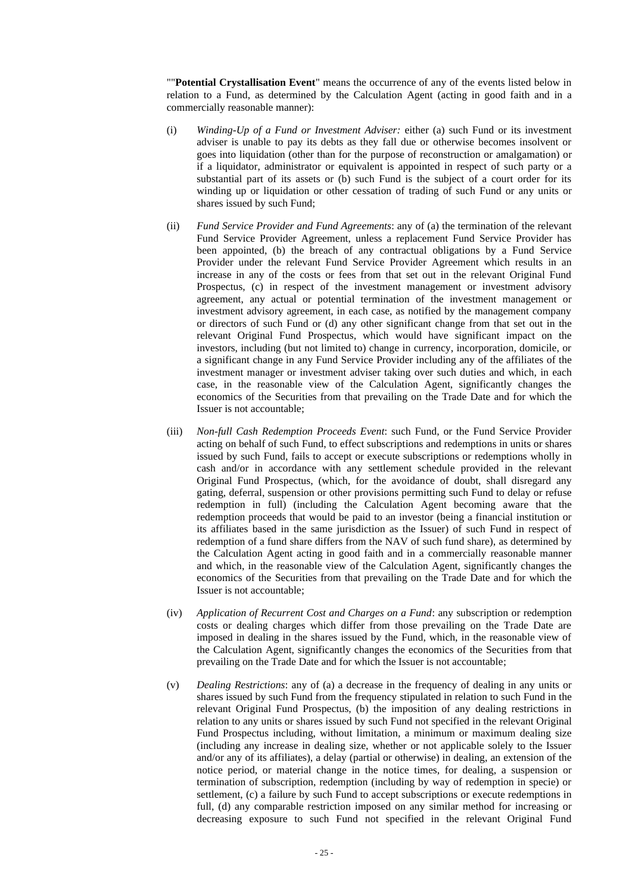""**Potential Crystallisation Event**" means the occurrence of any of the events listed below in relation to a Fund, as determined by the Calculation Agent (acting in good faith and in a commercially reasonable manner):

- (i) *Winding-Up of a Fund or Investment Adviser:* either (a) such Fund or its investment adviser is unable to pay its debts as they fall due or otherwise becomes insolvent or goes into liquidation (other than for the purpose of reconstruction or amalgamation) or if a liquidator, administrator or equivalent is appointed in respect of such party or a substantial part of its assets or (b) such Fund is the subject of a court order for its winding up or liquidation or other cessation of trading of such Fund or any units or shares issued by such Fund;
- (ii) *Fund Service Provider and Fund Agreements*: any of (a) the termination of the relevant Fund Service Provider Agreement, unless a replacement Fund Service Provider has been appointed, (b) the breach of any contractual obligations by a Fund Service Provider under the relevant Fund Service Provider Agreement which results in an increase in any of the costs or fees from that set out in the relevant Original Fund Prospectus, (c) in respect of the investment management or investment advisory agreement, any actual or potential termination of the investment management or investment advisory agreement, in each case, as notified by the management company or directors of such Fund or (d) any other significant change from that set out in the relevant Original Fund Prospectus, which would have significant impact on the investors, including (but not limited to) change in currency, incorporation, domicile, or a significant change in any Fund Service Provider including any of the affiliates of the investment manager or investment adviser taking over such duties and which, in each case, in the reasonable view of the Calculation Agent, significantly changes the economics of the Securities from that prevailing on the Trade Date and for which the Issuer is not accountable;
- (iii) *Non-full Cash Redemption Proceeds Event*: such Fund, or the Fund Service Provider acting on behalf of such Fund, to effect subscriptions and redemptions in units or shares issued by such Fund, fails to accept or execute subscriptions or redemptions wholly in cash and/or in accordance with any settlement schedule provided in the relevant Original Fund Prospectus, (which, for the avoidance of doubt, shall disregard any gating, deferral, suspension or other provisions permitting such Fund to delay or refuse redemption in full) (including the Calculation Agent becoming aware that the redemption proceeds that would be paid to an investor (being a financial institution or its affiliates based in the same jurisdiction as the Issuer) of such Fund in respect of redemption of a fund share differs from the NAV of such fund share), as determined by the Calculation Agent acting in good faith and in a commercially reasonable manner and which, in the reasonable view of the Calculation Agent, significantly changes the economics of the Securities from that prevailing on the Trade Date and for which the Issuer is not accountable;
- (iv) *Application of Recurrent Cost and Charges on a Fund*: any subscription or redemption costs or dealing charges which differ from those prevailing on the Trade Date are imposed in dealing in the shares issued by the Fund, which, in the reasonable view of the Calculation Agent, significantly changes the economics of the Securities from that prevailing on the Trade Date and for which the Issuer is not accountable;
- (v) *Dealing Restrictions*: any of (a) a decrease in the frequency of dealing in any units or shares issued by such Fund from the frequency stipulated in relation to such Fund in the relevant Original Fund Prospectus, (b) the imposition of any dealing restrictions in relation to any units or shares issued by such Fund not specified in the relevant Original Fund Prospectus including, without limitation, a minimum or maximum dealing size (including any increase in dealing size, whether or not applicable solely to the Issuer and/or any of its affiliates), a delay (partial or otherwise) in dealing, an extension of the notice period, or material change in the notice times, for dealing, a suspension or termination of subscription, redemption (including by way of redemption in specie) or settlement, (c) a failure by such Fund to accept subscriptions or execute redemptions in full, (d) any comparable restriction imposed on any similar method for increasing or decreasing exposure to such Fund not specified in the relevant Original Fund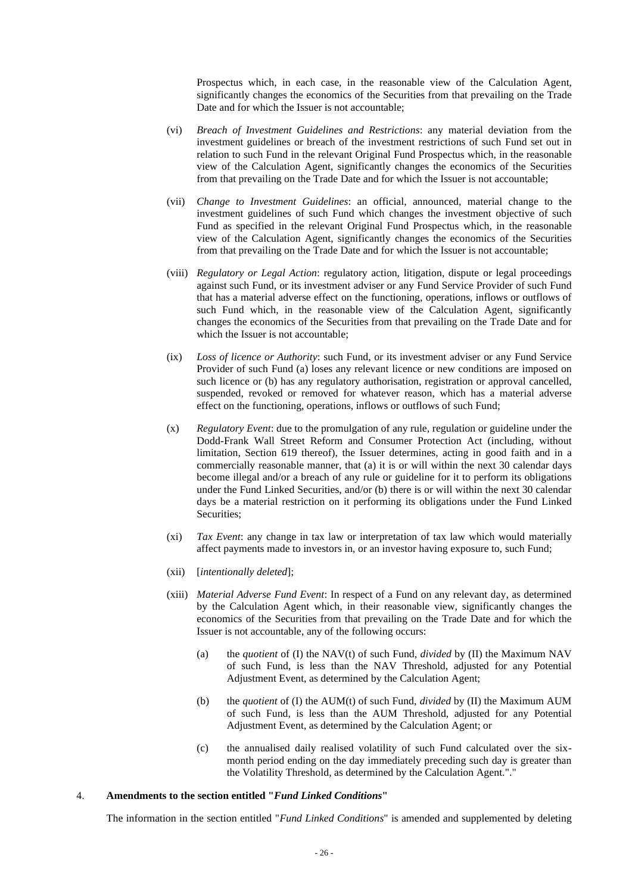Prospectus which, in each case, in the reasonable view of the Calculation Agent, significantly changes the economics of the Securities from that prevailing on the Trade Date and for which the Issuer is not accountable;

- (vi) *Breach of Investment Guidelines and Restrictions*: any material deviation from the investment guidelines or breach of the investment restrictions of such Fund set out in relation to such Fund in the relevant Original Fund Prospectus which, in the reasonable view of the Calculation Agent, significantly changes the economics of the Securities from that prevailing on the Trade Date and for which the Issuer is not accountable;
- (vii) *Change to Investment Guidelines*: an official, announced, material change to the investment guidelines of such Fund which changes the investment objective of such Fund as specified in the relevant Original Fund Prospectus which, in the reasonable view of the Calculation Agent, significantly changes the economics of the Securities from that prevailing on the Trade Date and for which the Issuer is not accountable;
- (viii) *Regulatory or Legal Action*: regulatory action, litigation, dispute or legal proceedings against such Fund, or its investment adviser or any Fund Service Provider of such Fund that has a material adverse effect on the functioning, operations, inflows or outflows of such Fund which, in the reasonable view of the Calculation Agent, significantly changes the economics of the Securities from that prevailing on the Trade Date and for which the Issuer is not accountable;
- (ix) *Loss of licence or Authority*: such Fund, or its investment adviser or any Fund Service Provider of such Fund (a) loses any relevant licence or new conditions are imposed on such licence or (b) has any regulatory authorisation, registration or approval cancelled, suspended, revoked or removed for whatever reason, which has a material adverse effect on the functioning, operations, inflows or outflows of such Fund;
- (x) *Regulatory Event*: due to the promulgation of any rule, regulation or guideline under the Dodd-Frank Wall Street Reform and Consumer Protection Act (including, without limitation, Section 619 thereof), the Issuer determines, acting in good faith and in a commercially reasonable manner, that (a) it is or will within the next 30 calendar days become illegal and/or a breach of any rule or guideline for it to perform its obligations under the Fund Linked Securities, and/or (b) there is or will within the next 30 calendar days be a material restriction on it performing its obligations under the Fund Linked Securities;
- (xi) *Tax Event*: any change in tax law or interpretation of tax law which would materially affect payments made to investors in, or an investor having exposure to, such Fund;
- (xii) [*intentionally deleted*];
- (xiii) *Material Adverse Fund Event*: In respect of a Fund on any relevant day, as determined by the Calculation Agent which, in their reasonable view, significantly changes the economics of the Securities from that prevailing on the Trade Date and for which the Issuer is not accountable, any of the following occurs:
	- (a) the *quotient* of (I) the NAV(t) of such Fund, *divided* by (II) the Maximum NAV of such Fund, is less than the NAV Threshold, adjusted for any Potential Adjustment Event, as determined by the Calculation Agent;
	- (b) the *quotient* of (I) the AUM(t) of such Fund, *divided* by (II) the Maximum AUM of such Fund, is less than the AUM Threshold, adjusted for any Potential Adjustment Event, as determined by the Calculation Agent; or
	- (c) the annualised daily realised volatility of such Fund calculated over the sixmonth period ending on the day immediately preceding such day is greater than the Volatility Threshold, as determined by the Calculation Agent."."

## 4. **Amendments to the section entitled "***Fund Linked Conditions***"**

The information in the section entitled "*Fund Linked Conditions*" is amended and supplemented by deleting